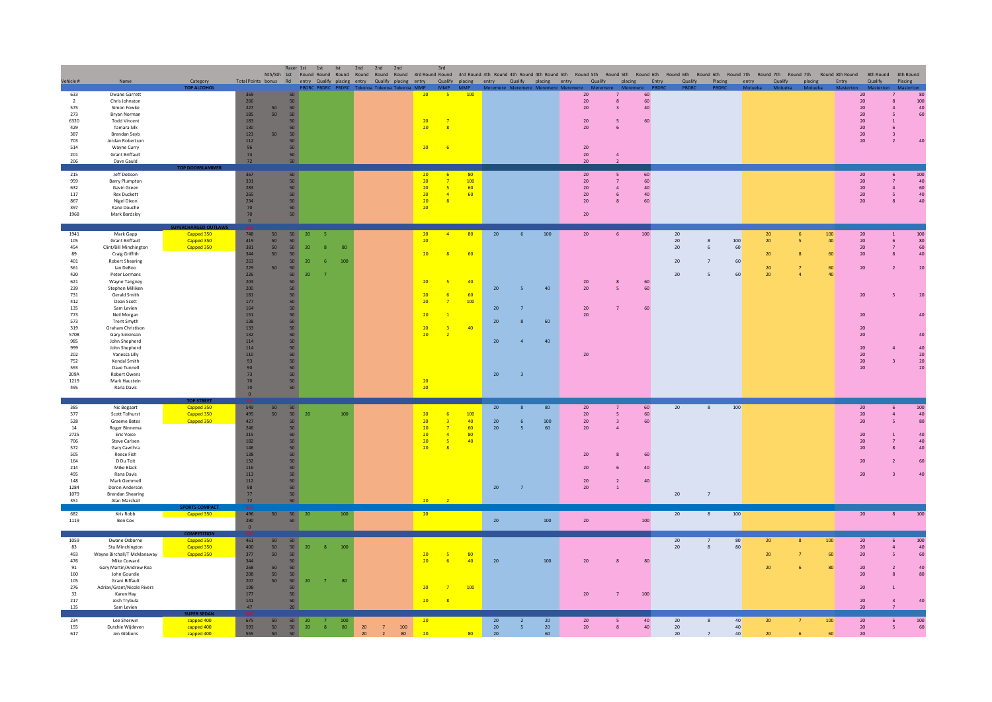|                                                                                                                                                                         |                                                                                                                                                                                                                                                                                                                                                                                                                                 |                                                   |                                                                                                                                                                                                      |                                      | Racer 1st                                                                                                                                                                           | 1st Ist                                                                           |            | 2nd 2nd<br>2nd<br>Nth/Sth 1st Round Round Round Round Round Round Round Round Round 3rd Round 4th Round 4th Round 5th Round 5th Round 5th Round 6th Round 6th Round 7th Round 7th Round 7th Round 7th Round 7th Round 8th Round 8th Round 7th Ro |                                                                                                 | 3rd                                                                                             |                                   |                                      |                                                                            |                                |                                                                                                               |                                                                                  |                            |                                |                                |                                                       |                            |        |                             |                                                                                                     |                                                                             |                                               |
|-------------------------------------------------------------------------------------------------------------------------------------------------------------------------|---------------------------------------------------------------------------------------------------------------------------------------------------------------------------------------------------------------------------------------------------------------------------------------------------------------------------------------------------------------------------------------------------------------------------------|---------------------------------------------------|------------------------------------------------------------------------------------------------------------------------------------------------------------------------------------------------------|--------------------------------------|-------------------------------------------------------------------------------------------------------------------------------------------------------------------------------------|-----------------------------------------------------------------------------------|------------|--------------------------------------------------------------------------------------------------------------------------------------------------------------------------------------------------------------------------------------------------|-------------------------------------------------------------------------------------------------|-------------------------------------------------------------------------------------------------|-----------------------------------|--------------------------------------|----------------------------------------------------------------------------|--------------------------------|---------------------------------------------------------------------------------------------------------------|----------------------------------------------------------------------------------|----------------------------|--------------------------------|--------------------------------|-------------------------------------------------------|----------------------------|--------|-----------------------------|-----------------------------------------------------------------------------------------------------|-----------------------------------------------------------------------------|-----------------------------------------------|
| Vehicle #                                                                                                                                                               | Name                                                                                                                                                                                                                                                                                                                                                                                                                            | Category<br><b>TOP ALCOHOL</b>                    |                                                                                                                                                                                                      |                                      |                                                                                                                                                                                     | <b>BDRC PBDRC PBDRC</b>                                                           |            | Total Points bonus Rd entry Qualify placing entry Qualify placing entry Qualify placing entry Qualify placing entry Qualify placing Entry Qualify Placing entry Qualify placing Entry Qualify Placing entry Qualify                              |                                                                                                 | MMP MMP                                                                                         |                                   |                                      |                                                                            | remere Meremere Meremere Merem | MAO                                                                                                           | MAG                                                                              | PRDE                       | <b>PRDR</b>                    |                                |                                                       |                            |        |                             | Qualify                                                                                             | Placing                                                                     |                                               |
| 633<br>$\overline{2}$<br>575<br>273<br>6320<br>429<br>387<br>703<br>514<br>201<br>206                                                                                   | Dwane Garrett<br>Chris Johnston<br>Simon Fowke<br>Bryan Norman<br><b>Todd Vincent</b><br>Tamara Silk<br><b>Brendan Seyb</b><br>Jordan Robertson<br>Wayne Curry<br><b>Grant Briffault</b><br>Dave Gauld                                                                                                                                                                                                                          | <b>IP DOORSLAMMER</b>                             | 369<br>266<br>227<br>185<br>183<br>130<br>123<br>112<br>96<br>74<br>72                                                                                                                               | 50<br>50<br>50                       | 50<br>50<br>50<br>50<br>50<br>50<br>50<br>50<br>50<br>50<br>50                                                                                                                      |                                                                                   |            | Tokoroa Tokoroa Tokor                                                                                                                                                                                                                            | 20<br>$\frac{20}{20}$<br>20                                                                     | $-5$<br>$\overline{R}$<br>$-6$                                                                  | 100                               |                                      |                                                                            |                                | 20<br>20<br>20 <sup>°</sup><br>20 <sub>2</sub><br>20<br>20<br>20<br>20 <sub>1</sub>                           | 7<br>$\overline{\mathbf{3}}$                                                     | 60<br>60<br>40<br>60       |                                |                                |                                                       |                            |        |                             | 20<br>20<br>20<br>20<br>20<br>20<br>20<br>20                                                        | $\overline{a}$                                                              | 80<br>100<br>40<br>60<br>$\Delta \Omega$      |
| 215<br>959<br>632<br>117<br>867<br>397<br>1968                                                                                                                          | Jeff Dobson<br><b>Barry Plumpton</b><br>Gavin Green<br><b>Rex Duckett</b><br>Nigel Dixon<br>Kane Douche<br>Mark Bardsley                                                                                                                                                                                                                                                                                                        |                                                   | 367<br>331<br>283<br>265<br>234<br>70<br>70 <sub>2</sub><br>$\mathbf{0}$                                                                                                                             |                                      | 50<br>50<br>50<br>50<br>50<br>50<br>50                                                                                                                                              |                                                                                   |            |                                                                                                                                                                                                                                                  | 20<br>20<br>20 <sup>°</sup><br>20<br>20 <sup>°</sup><br>20 <sup>°</sup>                         | - 6<br>$-5$<br>$-4$<br>$\overline{\mathbf{8}}$                                                  | 80<br>100<br>60<br>60             |                                      |                                                                            |                                | 20<br>20 <sub>2</sub><br>20 <sup>°</sup><br>20 <sub>2</sub><br>20<br>20                                       | $\overline{a}$<br>6<br>8                                                         | 60<br>60<br>40<br>40<br>60 |                                |                                |                                                       |                            |        |                             | 20<br>20<br>20<br>20<br>20 <sub>2</sub>                                                             | 6<br>$\overline{4}$<br>$\mathsf S$<br>$\mathbf{R}$                          | 100<br>40<br>60<br>40<br>40                   |
| 1941<br>105<br>454<br>89<br>401<br>561<br>420<br>621<br>239<br>731<br>412<br>135<br>773<br>573<br>319<br>5708<br>985<br>999<br>202<br>752<br>593<br>209A<br>1219<br>495 | Mark Gapp<br>Grant Briffault<br>Clint/Bill Minchington<br>Craig Griffith<br><b>Robert Shearing</b><br>lan DeBoo<br>Peter Lormans<br>Wayne Tangney<br>Stephen Milliken<br>Gerald Smith<br>Dean Scott<br>Sam Levien<br>Neil Morgan<br><b>Trent Smyth</b><br>Graham Christison<br>Gary Sinkinson<br>John Shepherd<br>John Shepherd<br>Vanessa Lilly<br>Kendal Smith<br>Dave Tunnell<br>Robert Owens<br>Mark Haustein<br>Rana Davis | Capped 350<br>Capped 350<br>Capped 350            | 748<br>419<br>381<br>344<br>263<br>229<br>226<br>203<br>200<br>181<br>$177\,$<br>164<br>151<br>138<br>133<br>132<br>114<br>114<br>110<br>93<br>90 <sub>°</sub><br>73<br>$70\,$<br>70<br>$\mathbf{0}$ | 50<br>50<br>50<br>50<br>$50^{\circ}$ | 50<br>50<br>50<br>50 <sub>2</sub><br>50 <sub>2</sub><br>50<br>50<br>50<br>50<br>50<br>50<br>50<br>50<br>50<br>50<br>50<br>50<br>50<br>50<br>50 <sub>2</sub><br>50<br>50<br>50<br>50 | 20<br>-5<br>20<br>8<br>20 <sub>2</sub><br>-6<br>20 <sub>2</sub><br>$\overline{7}$ | -80<br>100 |                                                                                                                                                                                                                                                  | 20<br>20<br>20<br>20<br>20<br>20<br>20<br>20<br>20<br>20<br>20                                  | $\sqrt{4}$<br>8<br>-5<br>-6<br>$\overline{7}$<br>$\sqrt{1}$<br>$\overline{3}$<br>$\overline{2}$ | 80<br>60<br>40<br>60<br>100<br>40 | 20<br>$20\,$<br>20<br>20<br>20<br>20 | 6<br>$\overline{5}$<br>7<br>8<br>$\overline{a}$<br>$\overline{\mathbf{3}}$ | 100<br>40<br>60<br>40          | 20<br>20<br>20 <sub>2</sub><br>20<br>20<br>20                                                                 | 6<br>8<br>$\overline{5}$<br>$\overline{7}$                                       | 100<br>60<br>60<br>60      | 20<br>20<br>20<br>$20\,$<br>20 | 8<br>6                         | 100<br>60<br>60<br>60                                 | 20<br>20<br>20<br>20<br>20 | 6<br>5 | 100<br>40<br>60<br>60<br>40 | 20<br>$20\,$<br>20<br>20 <sub>2</sub><br>20<br>20<br>$20\,$<br>$20\,$<br>20<br>20<br>20<br>20<br>20 | $\overline{1}$<br>6<br>$\overline{7}$<br>$\boldsymbol{8}$<br>$\overline{3}$ | 100<br>80<br>60<br>40<br>20<br>20<br>20<br>20 |
| 385<br>577<br>528<br>14<br>2725<br>706<br>572<br>505<br>164<br>214<br>495<br>148<br>1284<br>1079<br>351                                                                 | Nic Bogaart<br>Scott Tolhurst<br>Graeme Bates<br>Roger Binnema<br><b>Eric Voice</b><br>Steve Carlsen<br>Gary Cawthra<br>Reece Fish<br>D Du Toit<br>Mike Black<br><b>Rana Davis</b><br>Mark Gemmell<br>Doron Anderson<br><b>Brendan Shearing</b><br>Alan Marshall                                                                                                                                                                | OP STRF<br>Capped 350<br>Capped 350<br>Capped 350 | 549<br>495<br>427<br>246<br>215<br>182<br>146<br>138<br>132<br>116<br>113<br>112<br>98<br>77<br>$72\,$                                                                                               | 50<br>50                             | 50<br>50<br>50<br>50<br>50<br>50 <sub>2</sub><br>50<br>50<br>50<br>50<br>50<br>50 <sub>2</sub><br>50 <sub>2</sub><br>50<br>50                                                       | 20                                                                                | 100        |                                                                                                                                                                                                                                                  | 20<br>20 <sub>2</sub><br>$\begin{array}{c} 20 \\ 20 \end{array}$<br>20<br>20 <sup>°</sup><br>20 | $\overline{\mathbf{3}}$<br>$\overline{7}$<br>$\overline{a}$<br>$-5$<br>8                        | 100<br>40<br>60<br>80<br>40       | 20<br>20<br>20<br>20                 | 6<br>5 <sup>7</sup><br>$\overline{7}$                                      | 80<br>100<br>60                | 20 <sub>2</sub><br>20 <sub>2</sub><br>20 <sub>2</sub><br>20 <sub>2</sub><br>20<br>20<br>20 <sub>2</sub><br>20 | 5<br>$\overline{\mathbf{3}}$<br>$\overline{a}$<br>$\overline{2}$<br>$\mathbf{1}$ | 60<br>60<br>60<br>60<br>40 | 20<br>$20\,$                   | 8<br>$7\phantom{.0}$           | 100                                                   |                            |        |                             | 20<br>20<br>20<br>20<br>$20\,$<br>20<br>20<br>20                                                    | $\overline{4}$<br>$\overline{5}$                                            | 100<br>40<br>80<br>40<br>60                   |
| 682<br>1119                                                                                                                                                             | Kris Robb<br>Ben Cox                                                                                                                                                                                                                                                                                                                                                                                                            | Capped 350                                        | 496<br>290<br>$\circ$                                                                                                                                                                                | 50                                   | $50\qquad20$<br>50                                                                                                                                                                  |                                                                                   | 100        |                                                                                                                                                                                                                                                  | 20                                                                                              |                                                                                                 |                                   | 20                                   |                                                                            | 100                            | $20\,$                                                                                                        |                                                                                  | 100                        | 20                             | 8                              | 100                                                   |                            |        |                             | 20                                                                                                  | 8                                                                           | 100                                           |
| 1059<br>83<br>493<br>476<br>91<br>160<br>105<br>276<br>32<br>217<br>135                                                                                                 | Dwane Osborne<br>Stu Minchington<br>Wayne Birchall/T McManaway<br>Mike Coward<br>Gary Martin/Andrew Rea<br>John Gourdie<br><b>Grant Biffault</b><br>Adrian/Grant/Nicole Rivers<br>Karen Hav<br>Josh Trybula<br>Sam Levien                                                                                                                                                                                                       | Capped 350<br>Capped 350<br>Capped 350            | 461<br>400<br>377<br>344<br>268<br>208<br>207<br>198<br>177<br>141<br>47                                                                                                                             | 50<br>50<br>50<br>50<br>50<br>50     | 50<br>50<br>50<br>50<br>50<br>50<br>50<br>50<br>50<br>50<br>20 <sup>°</sup>                                                                                                         | 20<br>8<br>20 <sub>2</sub><br>7 <sup>7</sup>                                      | 100<br>80  |                                                                                                                                                                                                                                                  | 20 <sup>°</sup><br>20<br>20<br>20 <sup>°</sup>                                                  | -5<br>6 <sup>2</sup><br>$\overline{7}$<br>$\frac{8}{3}$                                         | 80<br>40<br>100                   | $20\,$                               |                                                                            | 100                            | 20 <sub>2</sub><br>20                                                                                         | $\overline{7}$                                                                   | 80<br>100                  | 20<br>20                       | $\overline{7}$<br>$\mathbf{8}$ | 80<br>80                                              | 20<br>20<br>20             |        | 100<br>60<br>80             | 20<br>20<br>20<br>20<br>20<br>20<br>$20\,$<br>20                                                    | 6<br>$\overline{\phantom{a}}$                                               | 100<br>40<br>60<br>40<br>80                   |
| 234<br>155<br>617                                                                                                                                                       | Lee Sherwin<br>Dutchie Wijdeven<br>Jen Gibbons                                                                                                                                                                                                                                                                                                                                                                                  | capped 400<br>capped 400<br>capped 400            | 675<br>593<br>555                                                                                                                                                                                    | 50<br>50<br>50 50                    | 50<br>50                                                                                                                                                                            | 20<br>$\overline{7}$<br>20<br>8 <sup>°</sup>                                      | 100<br>80  | $20\,$<br>$7^{\circ}$<br>100<br>20 <sup>°</sup><br>80<br>2 <sup>7</sup>                                                                                                                                                                          | 20 <sup>°</sup><br>20                                                                           |                                                                                                 | 80                                | 20<br>20<br>20                       | $\overline{z}$<br>5 <sub>1</sub>                                           | 20<br>20<br>60                 | 20<br>20 <sub>2</sub>                                                                                         | 5<br>8                                                                           | 40<br>40                   | 20<br>20<br>20 <sub>2</sub>    | $7\overline{ }$                | 40 <sup>°</sup><br>40 <sup>°</sup><br>40 <sup>°</sup> | 20<br>20                   |        | 100<br>60                   | 20<br>20<br>20                                                                                      | 6<br>$5\phantom{a}$                                                         | 100<br>60                                     |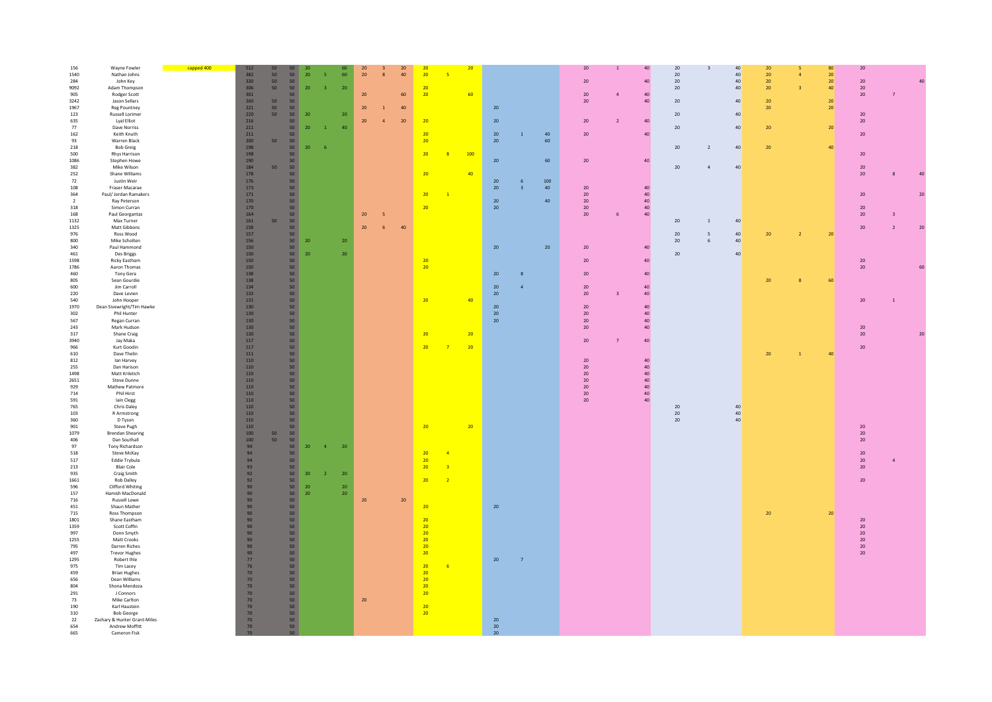| 40<br>1540<br>Nathan Johns<br>382<br>50 <sub>2</sub><br>50<br>$20\,$<br>60<br>20<br>40<br>20<br>20<br>40<br>20 <sub>2</sub><br>20 <sup>°</sup><br>5<br>$20\,$<br>320<br>20 <sub>2</sub><br>20 <sup>1</sup><br>284<br>50<br>$20\,$<br>40<br>40<br>20<br>50<br>John Key<br>9092<br>Adam Thompson<br>306<br>50<br>50<br>$20\,$<br>3 <sup>°</sup><br>$20\,$<br>$20\degree$<br>$20\,$<br>40<br>20 <sub>2</sub><br>40 <sup>°</sup><br>$20\,$<br>301<br>20<br>20<br>60<br>905<br>50<br>60<br>20<br>Rodger Scott<br>40<br>20<br>7<br>3242<br>Jason Sellars<br>260<br>50<br>50<br>20<br>$40\,$<br>$20\,$<br>40<br>${\bf 20}$<br>20 <sup>°</sup><br>1967<br>221<br>20<br>20<br>20 <sup>°</sup><br>20 <sup>°</sup><br><b>Reg Pountney</b><br>50<br>50<br>40<br>$\mathbf{1}$<br>50 <sub>1</sub><br>40<br>123<br><b>Russell Lorimer</b><br>220<br>50<br>20<br>${\bf 20}$<br>20<br>20 <sub>2</sub><br>20<br>635<br>Lyal Elliot<br>216<br>50<br>20<br>20<br>20<br>20<br>40<br>20<br>$\overline{\phantom{a}}$<br>$\mathbf{A}$<br>20<br>$20\,$<br>40<br>20 <sub>2</sub><br>20 <sub>2</sub><br>77<br>Dave Norriss<br>211<br>50<br>40 <sup>°</sup><br>$\overline{1}$<br>162<br>211<br>20<br>40<br>40<br>Keith Knuth<br>20<br>20<br>20 <sub>2</sub><br>50<br>$\mathbf 1$<br>50<br>200<br>50<br>20<br>20<br>60<br>93<br>Warren Black<br>218<br><b>Bob Greig</b><br>198<br>50<br>$20\,$<br>$20\,$<br>40<br>$20\,$<br>40<br>- 6<br>$\overline{2}$<br>198<br>500<br>Rhys Harrison<br>50<br>20<br>$\overline{R}$<br>100<br>20 <sub>2</sub><br>1086<br>Stephen Howe<br>190<br>50<br>$20\,$<br>60<br>$20\,$<br>$40\,$<br>184<br>50<br>40<br>382<br>50<br>$20\,$<br>20<br>Mike Wilson<br>$\overline{a}$<br>252<br>Shane Williams<br>178<br>50<br>20<br>40<br>$20\,$<br>176<br>50<br>20<br>72<br>100<br>Justin Weir<br>6<br>108<br>Fraser Macarae<br>173<br>50<br>$20\,$<br>40<br>$20\,$<br>40<br>$\overline{a}$<br>364<br>Paul/ Jordan Ramakers<br>171<br>50<br>20<br>$20\,$<br>40<br>20 <sub>2</sub><br>$\overline{1}$<br>$20\,$<br>$\overline{2}$<br>Ray Peterson<br>170<br>50<br>40<br>$20\,$<br>40<br>170<br>20<br>$20\,$<br>40<br>318<br>Simon Curran<br>50<br>20<br>20<br>164<br>50<br>$20\,$<br>$20\,$<br>168<br>Paul Georgantas<br>5<br>40<br>20<br>Max Turner<br>161<br>50<br>40<br>1132<br>50<br>20 <sub>2</sub><br>$\overline{1}$<br>20<br>1325<br>Matt Gibbons<br>158<br>50<br>40<br>20 <sub>2</sub><br>6<br>$\overline{2}$<br>157<br>976<br>Ross Wood<br>50<br>20 <sub>2</sub><br>40<br>20 <sup>°</sup><br>20 <sup>°</sup><br>$\overline{\phantom{a}}$<br>-5<br>50<br>800<br>Mike Scholten<br>156<br>20<br>20<br>$20\,$<br>40<br>150<br>50<br>20<br>340<br>Paul Hammond<br>20<br>20<br>40<br>150<br>50 <sub>1</sub><br>20 <sub>2</sub><br>$20\,$<br>461<br>Des Briggs<br>20<br>40<br>1598<br>Ricky Eastham<br>150<br>$40\,$<br>$20\,$<br>50<br>20<br>20<br>150<br>$50 -$<br>1786<br>Aaron Thomas<br>20<br>20<br>460<br>Tony Gera<br>138<br>50 <sub>2</sub><br>$20\,$<br>$20\,$<br>$40\,$<br>8<br>805<br>138<br>50<br>60<br>Sean Gourdie<br>20<br>600<br>Jim Carroll<br>134<br>50<br>$20\,$<br>$\overline{a}$<br>$20\,$<br>$40\,$<br>133<br>50<br>220<br>20<br>20<br>Dave Levien<br>40<br>540<br>John Hooper<br>131<br>50<br>20<br>40<br>$20\,$<br>1970<br>130<br>50<br>20<br>20<br>40<br>Dean Sivewright/Tim Hawke<br>50<br>302<br>Phil Hunter<br>130<br>20<br>$20\,$<br>40<br>130<br>50 <sub>2</sub><br>567<br>Regan Curran<br>20<br>20<br>40<br>243<br>Mark Hudson<br>130<br>50<br>20<br>40<br>20<br>130<br>50 <sub>2</sub><br>20 <sub>2</sub><br>317<br>Shane Craig<br>20<br>20<br>50 <sub>2</sub><br>117<br>40<br>3940<br>Jay Maka<br>20<br>966<br>Kurt Goodin<br>117<br>50<br>20<br>20<br>20<br>$\overline{7}$<br>$111\,$<br>50<br>610<br>Dave Thelin<br>40<br>20<br>$\overline{1}$<br>812<br>lan Harvey<br>$110\,$<br>50<br>$20\,$<br>40<br>110<br>50<br>$20\,$<br>255<br>Dan Harison<br>40<br>1498<br>Matt Kriletich<br>110<br>50<br>$20\,$<br>$40\,$<br>110<br>50<br>20<br>40<br>2651<br>Steve Dunne<br>929<br>Mathew Patmore<br>110<br>50<br>$20\,$<br>40<br>110<br>50 <sup>°</sup><br>714<br>Phil Hirst<br>20<br>40<br>591<br>Iain Clegg<br>110<br>50<br>$20\,$<br>40<br>110<br>50<br>765<br>Chris Daley<br>$20\,$<br>40<br>103<br>R Armstrong<br>110<br>50 <sub>2</sub><br>$20\,$<br>40<br>110<br>50<br>$20\,$<br>40<br>360<br>D Tyson<br>901<br>Steve Pugh<br>110<br>50<br>20<br>20 <sub>2</sub><br>20<br>$100\,$<br>50 <sub>2</sub><br>1079<br><b>Brendan Shearing</b><br>50<br>20<br>100<br>50<br>406<br>Dan Southall<br>$50^{\circ}$<br>20<br>Tony Richardson<br>94<br>50 <sub>2</sub><br>20<br>20<br>$\overline{4}$<br>94<br>20<br>Steve McKay<br>50<br>$\overline{a}$<br>20<br>Eddie Trybula<br>94<br>50<br>20<br>20<br>93<br>50<br>20<br>$\overline{3}$<br><b>Blair Cole</b><br>20<br>Craig Smith<br>92<br>50<br>20<br>$20\,$<br>92<br>20 <sup>°</sup><br>Rob Dalley<br>50<br>20<br>$\overline{2}$<br>Clifford Whiting<br>90<br>50 <sub>1</sub><br>$20\,$<br>20 <sub>2</sub><br>50 <sub>1</sub><br>90<br>20<br>Hamish MacDonald<br>20<br>Russell Lowe<br>90<br>50<br>20<br>${\bf 20}$<br>Shaun Mather<br>90<br>50<br>$20\,$<br>20<br>Ross Thompson<br>90<br>50<br>20 <sub>2</sub><br>20 <sup>°</sup><br>90<br>50<br>20<br>Shane Eastham<br>20<br>Scott Coffin<br>90<br>50<br>20<br>$20\,$<br>90<br>50<br>20<br>20<br>Donn Smyth<br>Matt Crooks<br>90<br>50<br>20<br>$20\,$<br>50 <sub>2</sub><br>Darren Riches<br>90<br>20<br>20<br>20<br><b>Trevor Hughes</b><br>90<br>50<br>20 <sub>2</sub><br>$77\,$<br>50<br>Robert Ihle<br>20<br>$\overline{7}$<br>50<br>76<br>20<br>Tim Lacey<br>6<br><b>Brian Hughes</b><br>70<br>50 <sub>2</sub><br>20<br>20<br>70<br>50<br>Dean Williams<br>Shona Mendoza<br>70<br>50<br>20<br>50 <sup>°</sup><br>70<br>20<br>J Connors<br>Mike Carlton<br>$70$<br>50<br>20<br>20<br>Karl Haustein<br>70<br>50<br><b>Bob George</b><br>$70$<br>50<br>20<br>50 <sub>2</sub><br>70<br>20<br>Zachary & Hunter Grant-Miles<br>Andrew Moffitt<br>70<br>50<br>20<br>20<br>Cameron Fisk<br>70<br>50 | 156 | Wayne Fowler | capped 400 | 512 |  |  |    |        |    | 20 |  | $20\,$ |  | $20\degree$ | 40 | $20\,$ | 80 | $20\,$ |    |
|--------------------------------------------------------------------------------------------------------------------------------------------------------------------------------------------------------------------------------------------------------------------------------------------------------------------------------------------------------------------------------------------------------------------------------------------------------------------------------------------------------------------------------------------------------------------------------------------------------------------------------------------------------------------------------------------------------------------------------------------------------------------------------------------------------------------------------------------------------------------------------------------------------------------------------------------------------------------------------------------------------------------------------------------------------------------------------------------------------------------------------------------------------------------------------------------------------------------------------------------------------------------------------------------------------------------------------------------------------------------------------------------------------------------------------------------------------------------------------------------------------------------------------------------------------------------------------------------------------------------------------------------------------------------------------------------------------------------------------------------------------------------------------------------------------------------------------------------------------------------------------------------------------------------------------------------------------------------------------------------------------------------------------------------------------------------------------------------------------------------------------------------------------------------------------------------------------------------------------------------------------------------------------------------------------------------------------------------------------------------------------------------------------------------------------------------------------------------------------------------------------------------------------------------------------------------------------------------------------------------------------------------------------------------------------------------------------------------------------------------------------------------------------------------------------------------------------------------------------------------------------------------------------------------------------------------------------------------------------------------------------------------------------------------------------------------------------------------------------------------------------------------------------------------------------------------------------------------------------------------------------------------------------------------------------------------------------------------------------------------------------------------------------------------------------------------------------------------------------------------------------------------------------------------------------------------------------------------------------------------------------------------------------------------------------------------------------------------------------------------------------------------------------------------------------------------------------------------------------------------------------------------------------------------------------------------------------------------------------------------------------------------------------------------------------------------------------------------------------------------------------------------------------------------------------------------------------------------------------------------------------------------------------------------------------------------------------------------------------------------------------------------------------------------------------------------------------------------------------------------------------------------------------------------------------------------------------------------------------------------------------------------------------------------------------------------------------------------------------------------------------------------------------------------------------------------------------------------------------------------------------------------------------------------------------------------------------------------------------------------------------------------------------------------------------------------------------------------------------------------------------------------------------------------------------------------------------------------------------------------------------------------------------------------------------------------------------------------------------------------------------------------------------------------------------------------------------------------------------------------------------------------------------------------------------------------------------------------------------------------------------------------------------------------------------------------------------------------------------------------------------------------------------------------------------------------------------------------------------------------------------------------------------------------------------------------------------------------------------------------------------------------------|-----|--------------|------------|-----|--|--|----|--------|----|----|--|--------|--|-------------|----|--------|----|--------|----|
|                                                                                                                                                                                                                                                                                                                                                                                                                                                                                                                                                                                                                                                                                                                                                                                                                                                                                                                                                                                                                                                                                                                                                                                                                                                                                                                                                                                                                                                                                                                                                                                                                                                                                                                                                                                                                                                                                                                                                                                                                                                                                                                                                                                                                                                                                                                                                                                                                                                                                                                                                                                                                                                                                                                                                                                                                                                                                                                                                                                                                                                                                                                                                                                                                                                                                                                                                                                                                                                                                                                                                                                                                                                                                                                                                                                                                                                                                                                                                                                                                                                                                                                                                                                                                                                                                                                                                                                                                                                                                                                                                                                                                                                                                                                                                                                                                                                                                                                                                                                                                                                                                                                                                                                                                                                                                                                                                                                                                                                                                                                                                                                                                                                                                                                                                                                                                                                                                                                                                                                                                          |     |              |            |     |  |  | 20 | $20\,$ | 20 |    |  |        |  |             |    |        |    |        |    |
|                                                                                                                                                                                                                                                                                                                                                                                                                                                                                                                                                                                                                                                                                                                                                                                                                                                                                                                                                                                                                                                                                                                                                                                                                                                                                                                                                                                                                                                                                                                                                                                                                                                                                                                                                                                                                                                                                                                                                                                                                                                                                                                                                                                                                                                                                                                                                                                                                                                                                                                                                                                                                                                                                                                                                                                                                                                                                                                                                                                                                                                                                                                                                                                                                                                                                                                                                                                                                                                                                                                                                                                                                                                                                                                                                                                                                                                                                                                                                                                                                                                                                                                                                                                                                                                                                                                                                                                                                                                                                                                                                                                                                                                                                                                                                                                                                                                                                                                                                                                                                                                                                                                                                                                                                                                                                                                                                                                                                                                                                                                                                                                                                                                                                                                                                                                                                                                                                                                                                                                                                          |     |              |            |     |  |  |    |        |    |    |  |        |  |             |    |        |    |        |    |
|                                                                                                                                                                                                                                                                                                                                                                                                                                                                                                                                                                                                                                                                                                                                                                                                                                                                                                                                                                                                                                                                                                                                                                                                                                                                                                                                                                                                                                                                                                                                                                                                                                                                                                                                                                                                                                                                                                                                                                                                                                                                                                                                                                                                                                                                                                                                                                                                                                                                                                                                                                                                                                                                                                                                                                                                                                                                                                                                                                                                                                                                                                                                                                                                                                                                                                                                                                                                                                                                                                                                                                                                                                                                                                                                                                                                                                                                                                                                                                                                                                                                                                                                                                                                                                                                                                                                                                                                                                                                                                                                                                                                                                                                                                                                                                                                                                                                                                                                                                                                                                                                                                                                                                                                                                                                                                                                                                                                                                                                                                                                                                                                                                                                                                                                                                                                                                                                                                                                                                                                                          |     |              |            |     |  |  |    |        |    |    |  |        |  |             |    |        |    |        | 40 |
|                                                                                                                                                                                                                                                                                                                                                                                                                                                                                                                                                                                                                                                                                                                                                                                                                                                                                                                                                                                                                                                                                                                                                                                                                                                                                                                                                                                                                                                                                                                                                                                                                                                                                                                                                                                                                                                                                                                                                                                                                                                                                                                                                                                                                                                                                                                                                                                                                                                                                                                                                                                                                                                                                                                                                                                                                                                                                                                                                                                                                                                                                                                                                                                                                                                                                                                                                                                                                                                                                                                                                                                                                                                                                                                                                                                                                                                                                                                                                                                                                                                                                                                                                                                                                                                                                                                                                                                                                                                                                                                                                                                                                                                                                                                                                                                                                                                                                                                                                                                                                                                                                                                                                                                                                                                                                                                                                                                                                                                                                                                                                                                                                                                                                                                                                                                                                                                                                                                                                                                                                          |     |              |            |     |  |  |    |        |    |    |  |        |  |             |    |        |    |        |    |
|                                                                                                                                                                                                                                                                                                                                                                                                                                                                                                                                                                                                                                                                                                                                                                                                                                                                                                                                                                                                                                                                                                                                                                                                                                                                                                                                                                                                                                                                                                                                                                                                                                                                                                                                                                                                                                                                                                                                                                                                                                                                                                                                                                                                                                                                                                                                                                                                                                                                                                                                                                                                                                                                                                                                                                                                                                                                                                                                                                                                                                                                                                                                                                                                                                                                                                                                                                                                                                                                                                                                                                                                                                                                                                                                                                                                                                                                                                                                                                                                                                                                                                                                                                                                                                                                                                                                                                                                                                                                                                                                                                                                                                                                                                                                                                                                                                                                                                                                                                                                                                                                                                                                                                                                                                                                                                                                                                                                                                                                                                                                                                                                                                                                                                                                                                                                                                                                                                                                                                                                                          |     |              |            |     |  |  |    |        |    |    |  |        |  |             |    |        |    |        |    |
|                                                                                                                                                                                                                                                                                                                                                                                                                                                                                                                                                                                                                                                                                                                                                                                                                                                                                                                                                                                                                                                                                                                                                                                                                                                                                                                                                                                                                                                                                                                                                                                                                                                                                                                                                                                                                                                                                                                                                                                                                                                                                                                                                                                                                                                                                                                                                                                                                                                                                                                                                                                                                                                                                                                                                                                                                                                                                                                                                                                                                                                                                                                                                                                                                                                                                                                                                                                                                                                                                                                                                                                                                                                                                                                                                                                                                                                                                                                                                                                                                                                                                                                                                                                                                                                                                                                                                                                                                                                                                                                                                                                                                                                                                                                                                                                                                                                                                                                                                                                                                                                                                                                                                                                                                                                                                                                                                                                                                                                                                                                                                                                                                                                                                                                                                                                                                                                                                                                                                                                                                          |     |              |            |     |  |  |    |        |    |    |  |        |  |             |    |        |    |        |    |
|                                                                                                                                                                                                                                                                                                                                                                                                                                                                                                                                                                                                                                                                                                                                                                                                                                                                                                                                                                                                                                                                                                                                                                                                                                                                                                                                                                                                                                                                                                                                                                                                                                                                                                                                                                                                                                                                                                                                                                                                                                                                                                                                                                                                                                                                                                                                                                                                                                                                                                                                                                                                                                                                                                                                                                                                                                                                                                                                                                                                                                                                                                                                                                                                                                                                                                                                                                                                                                                                                                                                                                                                                                                                                                                                                                                                                                                                                                                                                                                                                                                                                                                                                                                                                                                                                                                                                                                                                                                                                                                                                                                                                                                                                                                                                                                                                                                                                                                                                                                                                                                                                                                                                                                                                                                                                                                                                                                                                                                                                                                                                                                                                                                                                                                                                                                                                                                                                                                                                                                                                          |     |              |            |     |  |  |    |        |    |    |  |        |  |             |    |        |    |        |    |
|                                                                                                                                                                                                                                                                                                                                                                                                                                                                                                                                                                                                                                                                                                                                                                                                                                                                                                                                                                                                                                                                                                                                                                                                                                                                                                                                                                                                                                                                                                                                                                                                                                                                                                                                                                                                                                                                                                                                                                                                                                                                                                                                                                                                                                                                                                                                                                                                                                                                                                                                                                                                                                                                                                                                                                                                                                                                                                                                                                                                                                                                                                                                                                                                                                                                                                                                                                                                                                                                                                                                                                                                                                                                                                                                                                                                                                                                                                                                                                                                                                                                                                                                                                                                                                                                                                                                                                                                                                                                                                                                                                                                                                                                                                                                                                                                                                                                                                                                                                                                                                                                                                                                                                                                                                                                                                                                                                                                                                                                                                                                                                                                                                                                                                                                                                                                                                                                                                                                                                                                                          |     |              |            |     |  |  |    |        |    |    |  |        |  |             |    |        |    |        |    |
|                                                                                                                                                                                                                                                                                                                                                                                                                                                                                                                                                                                                                                                                                                                                                                                                                                                                                                                                                                                                                                                                                                                                                                                                                                                                                                                                                                                                                                                                                                                                                                                                                                                                                                                                                                                                                                                                                                                                                                                                                                                                                                                                                                                                                                                                                                                                                                                                                                                                                                                                                                                                                                                                                                                                                                                                                                                                                                                                                                                                                                                                                                                                                                                                                                                                                                                                                                                                                                                                                                                                                                                                                                                                                                                                                                                                                                                                                                                                                                                                                                                                                                                                                                                                                                                                                                                                                                                                                                                                                                                                                                                                                                                                                                                                                                                                                                                                                                                                                                                                                                                                                                                                                                                                                                                                                                                                                                                                                                                                                                                                                                                                                                                                                                                                                                                                                                                                                                                                                                                                                          |     |              |            |     |  |  |    |        |    |    |  |        |  |             |    |        |    |        |    |
|                                                                                                                                                                                                                                                                                                                                                                                                                                                                                                                                                                                                                                                                                                                                                                                                                                                                                                                                                                                                                                                                                                                                                                                                                                                                                                                                                                                                                                                                                                                                                                                                                                                                                                                                                                                                                                                                                                                                                                                                                                                                                                                                                                                                                                                                                                                                                                                                                                                                                                                                                                                                                                                                                                                                                                                                                                                                                                                                                                                                                                                                                                                                                                                                                                                                                                                                                                                                                                                                                                                                                                                                                                                                                                                                                                                                                                                                                                                                                                                                                                                                                                                                                                                                                                                                                                                                                                                                                                                                                                                                                                                                                                                                                                                                                                                                                                                                                                                                                                                                                                                                                                                                                                                                                                                                                                                                                                                                                                                                                                                                                                                                                                                                                                                                                                                                                                                                                                                                                                                                                          |     |              |            |     |  |  |    |        |    |    |  |        |  |             |    |        |    |        |    |
|                                                                                                                                                                                                                                                                                                                                                                                                                                                                                                                                                                                                                                                                                                                                                                                                                                                                                                                                                                                                                                                                                                                                                                                                                                                                                                                                                                                                                                                                                                                                                                                                                                                                                                                                                                                                                                                                                                                                                                                                                                                                                                                                                                                                                                                                                                                                                                                                                                                                                                                                                                                                                                                                                                                                                                                                                                                                                                                                                                                                                                                                                                                                                                                                                                                                                                                                                                                                                                                                                                                                                                                                                                                                                                                                                                                                                                                                                                                                                                                                                                                                                                                                                                                                                                                                                                                                                                                                                                                                                                                                                                                                                                                                                                                                                                                                                                                                                                                                                                                                                                                                                                                                                                                                                                                                                                                                                                                                                                                                                                                                                                                                                                                                                                                                                                                                                                                                                                                                                                                                                          |     |              |            |     |  |  |    |        |    |    |  |        |  |             |    |        |    |        |    |
|                                                                                                                                                                                                                                                                                                                                                                                                                                                                                                                                                                                                                                                                                                                                                                                                                                                                                                                                                                                                                                                                                                                                                                                                                                                                                                                                                                                                                                                                                                                                                                                                                                                                                                                                                                                                                                                                                                                                                                                                                                                                                                                                                                                                                                                                                                                                                                                                                                                                                                                                                                                                                                                                                                                                                                                                                                                                                                                                                                                                                                                                                                                                                                                                                                                                                                                                                                                                                                                                                                                                                                                                                                                                                                                                                                                                                                                                                                                                                                                                                                                                                                                                                                                                                                                                                                                                                                                                                                                                                                                                                                                                                                                                                                                                                                                                                                                                                                                                                                                                                                                                                                                                                                                                                                                                                                                                                                                                                                                                                                                                                                                                                                                                                                                                                                                                                                                                                                                                                                                                                          |     |              |            |     |  |  |    |        |    |    |  |        |  |             |    |        |    |        |    |
|                                                                                                                                                                                                                                                                                                                                                                                                                                                                                                                                                                                                                                                                                                                                                                                                                                                                                                                                                                                                                                                                                                                                                                                                                                                                                                                                                                                                                                                                                                                                                                                                                                                                                                                                                                                                                                                                                                                                                                                                                                                                                                                                                                                                                                                                                                                                                                                                                                                                                                                                                                                                                                                                                                                                                                                                                                                                                                                                                                                                                                                                                                                                                                                                                                                                                                                                                                                                                                                                                                                                                                                                                                                                                                                                                                                                                                                                                                                                                                                                                                                                                                                                                                                                                                                                                                                                                                                                                                                                                                                                                                                                                                                                                                                                                                                                                                                                                                                                                                                                                                                                                                                                                                                                                                                                                                                                                                                                                                                                                                                                                                                                                                                                                                                                                                                                                                                                                                                                                                                                                          |     |              |            |     |  |  |    |        |    |    |  |        |  |             |    |        |    |        |    |
|                                                                                                                                                                                                                                                                                                                                                                                                                                                                                                                                                                                                                                                                                                                                                                                                                                                                                                                                                                                                                                                                                                                                                                                                                                                                                                                                                                                                                                                                                                                                                                                                                                                                                                                                                                                                                                                                                                                                                                                                                                                                                                                                                                                                                                                                                                                                                                                                                                                                                                                                                                                                                                                                                                                                                                                                                                                                                                                                                                                                                                                                                                                                                                                                                                                                                                                                                                                                                                                                                                                                                                                                                                                                                                                                                                                                                                                                                                                                                                                                                                                                                                                                                                                                                                                                                                                                                                                                                                                                                                                                                                                                                                                                                                                                                                                                                                                                                                                                                                                                                                                                                                                                                                                                                                                                                                                                                                                                                                                                                                                                                                                                                                                                                                                                                                                                                                                                                                                                                                                                                          |     |              |            |     |  |  |    |        |    |    |  |        |  |             |    |        |    |        |    |
|                                                                                                                                                                                                                                                                                                                                                                                                                                                                                                                                                                                                                                                                                                                                                                                                                                                                                                                                                                                                                                                                                                                                                                                                                                                                                                                                                                                                                                                                                                                                                                                                                                                                                                                                                                                                                                                                                                                                                                                                                                                                                                                                                                                                                                                                                                                                                                                                                                                                                                                                                                                                                                                                                                                                                                                                                                                                                                                                                                                                                                                                                                                                                                                                                                                                                                                                                                                                                                                                                                                                                                                                                                                                                                                                                                                                                                                                                                                                                                                                                                                                                                                                                                                                                                                                                                                                                                                                                                                                                                                                                                                                                                                                                                                                                                                                                                                                                                                                                                                                                                                                                                                                                                                                                                                                                                                                                                                                                                                                                                                                                                                                                                                                                                                                                                                                                                                                                                                                                                                                                          |     |              |            |     |  |  |    |        |    |    |  |        |  |             |    |        |    |        |    |
|                                                                                                                                                                                                                                                                                                                                                                                                                                                                                                                                                                                                                                                                                                                                                                                                                                                                                                                                                                                                                                                                                                                                                                                                                                                                                                                                                                                                                                                                                                                                                                                                                                                                                                                                                                                                                                                                                                                                                                                                                                                                                                                                                                                                                                                                                                                                                                                                                                                                                                                                                                                                                                                                                                                                                                                                                                                                                                                                                                                                                                                                                                                                                                                                                                                                                                                                                                                                                                                                                                                                                                                                                                                                                                                                                                                                                                                                                                                                                                                                                                                                                                                                                                                                                                                                                                                                                                                                                                                                                                                                                                                                                                                                                                                                                                                                                                                                                                                                                                                                                                                                                                                                                                                                                                                                                                                                                                                                                                                                                                                                                                                                                                                                                                                                                                                                                                                                                                                                                                                                                          |     |              |            |     |  |  |    |        |    |    |  |        |  |             |    |        |    |        |    |
|                                                                                                                                                                                                                                                                                                                                                                                                                                                                                                                                                                                                                                                                                                                                                                                                                                                                                                                                                                                                                                                                                                                                                                                                                                                                                                                                                                                                                                                                                                                                                                                                                                                                                                                                                                                                                                                                                                                                                                                                                                                                                                                                                                                                                                                                                                                                                                                                                                                                                                                                                                                                                                                                                                                                                                                                                                                                                                                                                                                                                                                                                                                                                                                                                                                                                                                                                                                                                                                                                                                                                                                                                                                                                                                                                                                                                                                                                                                                                                                                                                                                                                                                                                                                                                                                                                                                                                                                                                                                                                                                                                                                                                                                                                                                                                                                                                                                                                                                                                                                                                                                                                                                                                                                                                                                                                                                                                                                                                                                                                                                                                                                                                                                                                                                                                                                                                                                                                                                                                                                                          |     |              |            |     |  |  |    |        |    |    |  |        |  |             |    |        |    |        |    |
|                                                                                                                                                                                                                                                                                                                                                                                                                                                                                                                                                                                                                                                                                                                                                                                                                                                                                                                                                                                                                                                                                                                                                                                                                                                                                                                                                                                                                                                                                                                                                                                                                                                                                                                                                                                                                                                                                                                                                                                                                                                                                                                                                                                                                                                                                                                                                                                                                                                                                                                                                                                                                                                                                                                                                                                                                                                                                                                                                                                                                                                                                                                                                                                                                                                                                                                                                                                                                                                                                                                                                                                                                                                                                                                                                                                                                                                                                                                                                                                                                                                                                                                                                                                                                                                                                                                                                                                                                                                                                                                                                                                                                                                                                                                                                                                                                                                                                                                                                                                                                                                                                                                                                                                                                                                                                                                                                                                                                                                                                                                                                                                                                                                                                                                                                                                                                                                                                                                                                                                                                          |     |              |            |     |  |  |    |        |    |    |  |        |  |             |    |        |    |        |    |
|                                                                                                                                                                                                                                                                                                                                                                                                                                                                                                                                                                                                                                                                                                                                                                                                                                                                                                                                                                                                                                                                                                                                                                                                                                                                                                                                                                                                                                                                                                                                                                                                                                                                                                                                                                                                                                                                                                                                                                                                                                                                                                                                                                                                                                                                                                                                                                                                                                                                                                                                                                                                                                                                                                                                                                                                                                                                                                                                                                                                                                                                                                                                                                                                                                                                                                                                                                                                                                                                                                                                                                                                                                                                                                                                                                                                                                                                                                                                                                                                                                                                                                                                                                                                                                                                                                                                                                                                                                                                                                                                                                                                                                                                                                                                                                                                                                                                                                                                                                                                                                                                                                                                                                                                                                                                                                                                                                                                                                                                                                                                                                                                                                                                                                                                                                                                                                                                                                                                                                                                                          |     |              |            |     |  |  |    |        |    |    |  |        |  |             |    |        |    |        |    |
|                                                                                                                                                                                                                                                                                                                                                                                                                                                                                                                                                                                                                                                                                                                                                                                                                                                                                                                                                                                                                                                                                                                                                                                                                                                                                                                                                                                                                                                                                                                                                                                                                                                                                                                                                                                                                                                                                                                                                                                                                                                                                                                                                                                                                                                                                                                                                                                                                                                                                                                                                                                                                                                                                                                                                                                                                                                                                                                                                                                                                                                                                                                                                                                                                                                                                                                                                                                                                                                                                                                                                                                                                                                                                                                                                                                                                                                                                                                                                                                                                                                                                                                                                                                                                                                                                                                                                                                                                                                                                                                                                                                                                                                                                                                                                                                                                                                                                                                                                                                                                                                                                                                                                                                                                                                                                                                                                                                                                                                                                                                                                                                                                                                                                                                                                                                                                                                                                                                                                                                                                          |     |              |            |     |  |  |    |        |    |    |  |        |  |             |    |        |    |        |    |
|                                                                                                                                                                                                                                                                                                                                                                                                                                                                                                                                                                                                                                                                                                                                                                                                                                                                                                                                                                                                                                                                                                                                                                                                                                                                                                                                                                                                                                                                                                                                                                                                                                                                                                                                                                                                                                                                                                                                                                                                                                                                                                                                                                                                                                                                                                                                                                                                                                                                                                                                                                                                                                                                                                                                                                                                                                                                                                                                                                                                                                                                                                                                                                                                                                                                                                                                                                                                                                                                                                                                                                                                                                                                                                                                                                                                                                                                                                                                                                                                                                                                                                                                                                                                                                                                                                                                                                                                                                                                                                                                                                                                                                                                                                                                                                                                                                                                                                                                                                                                                                                                                                                                                                                                                                                                                                                                                                                                                                                                                                                                                                                                                                                                                                                                                                                                                                                                                                                                                                                                                          |     |              |            |     |  |  |    |        |    |    |  |        |  |             |    |        |    |        | 40 |
|                                                                                                                                                                                                                                                                                                                                                                                                                                                                                                                                                                                                                                                                                                                                                                                                                                                                                                                                                                                                                                                                                                                                                                                                                                                                                                                                                                                                                                                                                                                                                                                                                                                                                                                                                                                                                                                                                                                                                                                                                                                                                                                                                                                                                                                                                                                                                                                                                                                                                                                                                                                                                                                                                                                                                                                                                                                                                                                                                                                                                                                                                                                                                                                                                                                                                                                                                                                                                                                                                                                                                                                                                                                                                                                                                                                                                                                                                                                                                                                                                                                                                                                                                                                                                                                                                                                                                                                                                                                                                                                                                                                                                                                                                                                                                                                                                                                                                                                                                                                                                                                                                                                                                                                                                                                                                                                                                                                                                                                                                                                                                                                                                                                                                                                                                                                                                                                                                                                                                                                                                          |     |              |            |     |  |  |    |        |    |    |  |        |  |             |    |        |    |        |    |
|                                                                                                                                                                                                                                                                                                                                                                                                                                                                                                                                                                                                                                                                                                                                                                                                                                                                                                                                                                                                                                                                                                                                                                                                                                                                                                                                                                                                                                                                                                                                                                                                                                                                                                                                                                                                                                                                                                                                                                                                                                                                                                                                                                                                                                                                                                                                                                                                                                                                                                                                                                                                                                                                                                                                                                                                                                                                                                                                                                                                                                                                                                                                                                                                                                                                                                                                                                                                                                                                                                                                                                                                                                                                                                                                                                                                                                                                                                                                                                                                                                                                                                                                                                                                                                                                                                                                                                                                                                                                                                                                                                                                                                                                                                                                                                                                                                                                                                                                                                                                                                                                                                                                                                                                                                                                                                                                                                                                                                                                                                                                                                                                                                                                                                                                                                                                                                                                                                                                                                                                                          |     |              |            |     |  |  |    |        |    |    |  |        |  |             |    |        |    |        |    |
|                                                                                                                                                                                                                                                                                                                                                                                                                                                                                                                                                                                                                                                                                                                                                                                                                                                                                                                                                                                                                                                                                                                                                                                                                                                                                                                                                                                                                                                                                                                                                                                                                                                                                                                                                                                                                                                                                                                                                                                                                                                                                                                                                                                                                                                                                                                                                                                                                                                                                                                                                                                                                                                                                                                                                                                                                                                                                                                                                                                                                                                                                                                                                                                                                                                                                                                                                                                                                                                                                                                                                                                                                                                                                                                                                                                                                                                                                                                                                                                                                                                                                                                                                                                                                                                                                                                                                                                                                                                                                                                                                                                                                                                                                                                                                                                                                                                                                                                                                                                                                                                                                                                                                                                                                                                                                                                                                                                                                                                                                                                                                                                                                                                                                                                                                                                                                                                                                                                                                                                                                          |     |              |            |     |  |  |    |        |    |    |  |        |  |             |    |        |    |        |    |
|                                                                                                                                                                                                                                                                                                                                                                                                                                                                                                                                                                                                                                                                                                                                                                                                                                                                                                                                                                                                                                                                                                                                                                                                                                                                                                                                                                                                                                                                                                                                                                                                                                                                                                                                                                                                                                                                                                                                                                                                                                                                                                                                                                                                                                                                                                                                                                                                                                                                                                                                                                                                                                                                                                                                                                                                                                                                                                                                                                                                                                                                                                                                                                                                                                                                                                                                                                                                                                                                                                                                                                                                                                                                                                                                                                                                                                                                                                                                                                                                                                                                                                                                                                                                                                                                                                                                                                                                                                                                                                                                                                                                                                                                                                                                                                                                                                                                                                                                                                                                                                                                                                                                                                                                                                                                                                                                                                                                                                                                                                                                                                                                                                                                                                                                                                                                                                                                                                                                                                                                                          |     |              |            |     |  |  |    |        |    |    |  |        |  |             |    |        |    |        | 20 |
|                                                                                                                                                                                                                                                                                                                                                                                                                                                                                                                                                                                                                                                                                                                                                                                                                                                                                                                                                                                                                                                                                                                                                                                                                                                                                                                                                                                                                                                                                                                                                                                                                                                                                                                                                                                                                                                                                                                                                                                                                                                                                                                                                                                                                                                                                                                                                                                                                                                                                                                                                                                                                                                                                                                                                                                                                                                                                                                                                                                                                                                                                                                                                                                                                                                                                                                                                                                                                                                                                                                                                                                                                                                                                                                                                                                                                                                                                                                                                                                                                                                                                                                                                                                                                                                                                                                                                                                                                                                                                                                                                                                                                                                                                                                                                                                                                                                                                                                                                                                                                                                                                                                                                                                                                                                                                                                                                                                                                                                                                                                                                                                                                                                                                                                                                                                                                                                                                                                                                                                                                          |     |              |            |     |  |  |    |        |    |    |  |        |  |             |    |        |    |        |    |
|                                                                                                                                                                                                                                                                                                                                                                                                                                                                                                                                                                                                                                                                                                                                                                                                                                                                                                                                                                                                                                                                                                                                                                                                                                                                                                                                                                                                                                                                                                                                                                                                                                                                                                                                                                                                                                                                                                                                                                                                                                                                                                                                                                                                                                                                                                                                                                                                                                                                                                                                                                                                                                                                                                                                                                                                                                                                                                                                                                                                                                                                                                                                                                                                                                                                                                                                                                                                                                                                                                                                                                                                                                                                                                                                                                                                                                                                                                                                                                                                                                                                                                                                                                                                                                                                                                                                                                                                                                                                                                                                                                                                                                                                                                                                                                                                                                                                                                                                                                                                                                                                                                                                                                                                                                                                                                                                                                                                                                                                                                                                                                                                                                                                                                                                                                                                                                                                                                                                                                                                                          |     |              |            |     |  |  |    |        |    |    |  |        |  |             |    |        |    |        |    |
|                                                                                                                                                                                                                                                                                                                                                                                                                                                                                                                                                                                                                                                                                                                                                                                                                                                                                                                                                                                                                                                                                                                                                                                                                                                                                                                                                                                                                                                                                                                                                                                                                                                                                                                                                                                                                                                                                                                                                                                                                                                                                                                                                                                                                                                                                                                                                                                                                                                                                                                                                                                                                                                                                                                                                                                                                                                                                                                                                                                                                                                                                                                                                                                                                                                                                                                                                                                                                                                                                                                                                                                                                                                                                                                                                                                                                                                                                                                                                                                                                                                                                                                                                                                                                                                                                                                                                                                                                                                                                                                                                                                                                                                                                                                                                                                                                                                                                                                                                                                                                                                                                                                                                                                                                                                                                                                                                                                                                                                                                                                                                                                                                                                                                                                                                                                                                                                                                                                                                                                                                          |     |              |            |     |  |  |    |        |    |    |  |        |  |             |    |        |    |        |    |
|                                                                                                                                                                                                                                                                                                                                                                                                                                                                                                                                                                                                                                                                                                                                                                                                                                                                                                                                                                                                                                                                                                                                                                                                                                                                                                                                                                                                                                                                                                                                                                                                                                                                                                                                                                                                                                                                                                                                                                                                                                                                                                                                                                                                                                                                                                                                                                                                                                                                                                                                                                                                                                                                                                                                                                                                                                                                                                                                                                                                                                                                                                                                                                                                                                                                                                                                                                                                                                                                                                                                                                                                                                                                                                                                                                                                                                                                                                                                                                                                                                                                                                                                                                                                                                                                                                                                                                                                                                                                                                                                                                                                                                                                                                                                                                                                                                                                                                                                                                                                                                                                                                                                                                                                                                                                                                                                                                                                                                                                                                                                                                                                                                                                                                                                                                                                                                                                                                                                                                                                                          |     |              |            |     |  |  |    |        |    |    |  |        |  |             |    |        |    |        |    |
|                                                                                                                                                                                                                                                                                                                                                                                                                                                                                                                                                                                                                                                                                                                                                                                                                                                                                                                                                                                                                                                                                                                                                                                                                                                                                                                                                                                                                                                                                                                                                                                                                                                                                                                                                                                                                                                                                                                                                                                                                                                                                                                                                                                                                                                                                                                                                                                                                                                                                                                                                                                                                                                                                                                                                                                                                                                                                                                                                                                                                                                                                                                                                                                                                                                                                                                                                                                                                                                                                                                                                                                                                                                                                                                                                                                                                                                                                                                                                                                                                                                                                                                                                                                                                                                                                                                                                                                                                                                                                                                                                                                                                                                                                                                                                                                                                                                                                                                                                                                                                                                                                                                                                                                                                                                                                                                                                                                                                                                                                                                                                                                                                                                                                                                                                                                                                                                                                                                                                                                                                          |     |              |            |     |  |  |    |        |    |    |  |        |  |             |    |        |    |        |    |
|                                                                                                                                                                                                                                                                                                                                                                                                                                                                                                                                                                                                                                                                                                                                                                                                                                                                                                                                                                                                                                                                                                                                                                                                                                                                                                                                                                                                                                                                                                                                                                                                                                                                                                                                                                                                                                                                                                                                                                                                                                                                                                                                                                                                                                                                                                                                                                                                                                                                                                                                                                                                                                                                                                                                                                                                                                                                                                                                                                                                                                                                                                                                                                                                                                                                                                                                                                                                                                                                                                                                                                                                                                                                                                                                                                                                                                                                                                                                                                                                                                                                                                                                                                                                                                                                                                                                                                                                                                                                                                                                                                                                                                                                                                                                                                                                                                                                                                                                                                                                                                                                                                                                                                                                                                                                                                                                                                                                                                                                                                                                                                                                                                                                                                                                                                                                                                                                                                                                                                                                                          |     |              |            |     |  |  |    |        |    |    |  |        |  |             |    |        |    |        |    |
|                                                                                                                                                                                                                                                                                                                                                                                                                                                                                                                                                                                                                                                                                                                                                                                                                                                                                                                                                                                                                                                                                                                                                                                                                                                                                                                                                                                                                                                                                                                                                                                                                                                                                                                                                                                                                                                                                                                                                                                                                                                                                                                                                                                                                                                                                                                                                                                                                                                                                                                                                                                                                                                                                                                                                                                                                                                                                                                                                                                                                                                                                                                                                                                                                                                                                                                                                                                                                                                                                                                                                                                                                                                                                                                                                                                                                                                                                                                                                                                                                                                                                                                                                                                                                                                                                                                                                                                                                                                                                                                                                                                                                                                                                                                                                                                                                                                                                                                                                                                                                                                                                                                                                                                                                                                                                                                                                                                                                                                                                                                                                                                                                                                                                                                                                                                                                                                                                                                                                                                                                          |     |              |            |     |  |  |    |        |    |    |  |        |  |             |    |        |    |        | 20 |
|                                                                                                                                                                                                                                                                                                                                                                                                                                                                                                                                                                                                                                                                                                                                                                                                                                                                                                                                                                                                                                                                                                                                                                                                                                                                                                                                                                                                                                                                                                                                                                                                                                                                                                                                                                                                                                                                                                                                                                                                                                                                                                                                                                                                                                                                                                                                                                                                                                                                                                                                                                                                                                                                                                                                                                                                                                                                                                                                                                                                                                                                                                                                                                                                                                                                                                                                                                                                                                                                                                                                                                                                                                                                                                                                                                                                                                                                                                                                                                                                                                                                                                                                                                                                                                                                                                                                                                                                                                                                                                                                                                                                                                                                                                                                                                                                                                                                                                                                                                                                                                                                                                                                                                                                                                                                                                                                                                                                                                                                                                                                                                                                                                                                                                                                                                                                                                                                                                                                                                                                                          |     |              |            |     |  |  |    |        |    |    |  |        |  |             |    |        |    |        |    |
|                                                                                                                                                                                                                                                                                                                                                                                                                                                                                                                                                                                                                                                                                                                                                                                                                                                                                                                                                                                                                                                                                                                                                                                                                                                                                                                                                                                                                                                                                                                                                                                                                                                                                                                                                                                                                                                                                                                                                                                                                                                                                                                                                                                                                                                                                                                                                                                                                                                                                                                                                                                                                                                                                                                                                                                                                                                                                                                                                                                                                                                                                                                                                                                                                                                                                                                                                                                                                                                                                                                                                                                                                                                                                                                                                                                                                                                                                                                                                                                                                                                                                                                                                                                                                                                                                                                                                                                                                                                                                                                                                                                                                                                                                                                                                                                                                                                                                                                                                                                                                                                                                                                                                                                                                                                                                                                                                                                                                                                                                                                                                                                                                                                                                                                                                                                                                                                                                                                                                                                                                          |     |              |            |     |  |  |    |        |    |    |  |        |  |             |    |        |    |        |    |
|                                                                                                                                                                                                                                                                                                                                                                                                                                                                                                                                                                                                                                                                                                                                                                                                                                                                                                                                                                                                                                                                                                                                                                                                                                                                                                                                                                                                                                                                                                                                                                                                                                                                                                                                                                                                                                                                                                                                                                                                                                                                                                                                                                                                                                                                                                                                                                                                                                                                                                                                                                                                                                                                                                                                                                                                                                                                                                                                                                                                                                                                                                                                                                                                                                                                                                                                                                                                                                                                                                                                                                                                                                                                                                                                                                                                                                                                                                                                                                                                                                                                                                                                                                                                                                                                                                                                                                                                                                                                                                                                                                                                                                                                                                                                                                                                                                                                                                                                                                                                                                                                                                                                                                                                                                                                                                                                                                                                                                                                                                                                                                                                                                                                                                                                                                                                                                                                                                                                                                                                                          |     |              |            |     |  |  |    |        |    |    |  |        |  |             |    |        |    |        |    |
|                                                                                                                                                                                                                                                                                                                                                                                                                                                                                                                                                                                                                                                                                                                                                                                                                                                                                                                                                                                                                                                                                                                                                                                                                                                                                                                                                                                                                                                                                                                                                                                                                                                                                                                                                                                                                                                                                                                                                                                                                                                                                                                                                                                                                                                                                                                                                                                                                                                                                                                                                                                                                                                                                                                                                                                                                                                                                                                                                                                                                                                                                                                                                                                                                                                                                                                                                                                                                                                                                                                                                                                                                                                                                                                                                                                                                                                                                                                                                                                                                                                                                                                                                                                                                                                                                                                                                                                                                                                                                                                                                                                                                                                                                                                                                                                                                                                                                                                                                                                                                                                                                                                                                                                                                                                                                                                                                                                                                                                                                                                                                                                                                                                                                                                                                                                                                                                                                                                                                                                                                          |     |              |            |     |  |  |    |        |    |    |  |        |  |             |    |        |    |        |    |
|                                                                                                                                                                                                                                                                                                                                                                                                                                                                                                                                                                                                                                                                                                                                                                                                                                                                                                                                                                                                                                                                                                                                                                                                                                                                                                                                                                                                                                                                                                                                                                                                                                                                                                                                                                                                                                                                                                                                                                                                                                                                                                                                                                                                                                                                                                                                                                                                                                                                                                                                                                                                                                                                                                                                                                                                                                                                                                                                                                                                                                                                                                                                                                                                                                                                                                                                                                                                                                                                                                                                                                                                                                                                                                                                                                                                                                                                                                                                                                                                                                                                                                                                                                                                                                                                                                                                                                                                                                                                                                                                                                                                                                                                                                                                                                                                                                                                                                                                                                                                                                                                                                                                                                                                                                                                                                                                                                                                                                                                                                                                                                                                                                                                                                                                                                                                                                                                                                                                                                                                                          |     |              |            |     |  |  |    |        |    |    |  |        |  |             |    |        |    |        |    |
|                                                                                                                                                                                                                                                                                                                                                                                                                                                                                                                                                                                                                                                                                                                                                                                                                                                                                                                                                                                                                                                                                                                                                                                                                                                                                                                                                                                                                                                                                                                                                                                                                                                                                                                                                                                                                                                                                                                                                                                                                                                                                                                                                                                                                                                                                                                                                                                                                                                                                                                                                                                                                                                                                                                                                                                                                                                                                                                                                                                                                                                                                                                                                                                                                                                                                                                                                                                                                                                                                                                                                                                                                                                                                                                                                                                                                                                                                                                                                                                                                                                                                                                                                                                                                                                                                                                                                                                                                                                                                                                                                                                                                                                                                                                                                                                                                                                                                                                                                                                                                                                                                                                                                                                                                                                                                                                                                                                                                                                                                                                                                                                                                                                                                                                                                                                                                                                                                                                                                                                                                          |     |              |            |     |  |  |    |        |    |    |  |        |  |             |    |        |    |        |    |
|                                                                                                                                                                                                                                                                                                                                                                                                                                                                                                                                                                                                                                                                                                                                                                                                                                                                                                                                                                                                                                                                                                                                                                                                                                                                                                                                                                                                                                                                                                                                                                                                                                                                                                                                                                                                                                                                                                                                                                                                                                                                                                                                                                                                                                                                                                                                                                                                                                                                                                                                                                                                                                                                                                                                                                                                                                                                                                                                                                                                                                                                                                                                                                                                                                                                                                                                                                                                                                                                                                                                                                                                                                                                                                                                                                                                                                                                                                                                                                                                                                                                                                                                                                                                                                                                                                                                                                                                                                                                                                                                                                                                                                                                                                                                                                                                                                                                                                                                                                                                                                                                                                                                                                                                                                                                                                                                                                                                                                                                                                                                                                                                                                                                                                                                                                                                                                                                                                                                                                                                                          |     |              |            |     |  |  |    |        |    |    |  |        |  |             |    |        |    |        | 60 |
|                                                                                                                                                                                                                                                                                                                                                                                                                                                                                                                                                                                                                                                                                                                                                                                                                                                                                                                                                                                                                                                                                                                                                                                                                                                                                                                                                                                                                                                                                                                                                                                                                                                                                                                                                                                                                                                                                                                                                                                                                                                                                                                                                                                                                                                                                                                                                                                                                                                                                                                                                                                                                                                                                                                                                                                                                                                                                                                                                                                                                                                                                                                                                                                                                                                                                                                                                                                                                                                                                                                                                                                                                                                                                                                                                                                                                                                                                                                                                                                                                                                                                                                                                                                                                                                                                                                                                                                                                                                                                                                                                                                                                                                                                                                                                                                                                                                                                                                                                                                                                                                                                                                                                                                                                                                                                                                                                                                                                                                                                                                                                                                                                                                                                                                                                                                                                                                                                                                                                                                                                          |     |              |            |     |  |  |    |        |    |    |  |        |  |             |    |        |    |        |    |
|                                                                                                                                                                                                                                                                                                                                                                                                                                                                                                                                                                                                                                                                                                                                                                                                                                                                                                                                                                                                                                                                                                                                                                                                                                                                                                                                                                                                                                                                                                                                                                                                                                                                                                                                                                                                                                                                                                                                                                                                                                                                                                                                                                                                                                                                                                                                                                                                                                                                                                                                                                                                                                                                                                                                                                                                                                                                                                                                                                                                                                                                                                                                                                                                                                                                                                                                                                                                                                                                                                                                                                                                                                                                                                                                                                                                                                                                                                                                                                                                                                                                                                                                                                                                                                                                                                                                                                                                                                                                                                                                                                                                                                                                                                                                                                                                                                                                                                                                                                                                                                                                                                                                                                                                                                                                                                                                                                                                                                                                                                                                                                                                                                                                                                                                                                                                                                                                                                                                                                                                                          |     |              |            |     |  |  |    |        |    |    |  |        |  |             |    |        |    |        |    |
|                                                                                                                                                                                                                                                                                                                                                                                                                                                                                                                                                                                                                                                                                                                                                                                                                                                                                                                                                                                                                                                                                                                                                                                                                                                                                                                                                                                                                                                                                                                                                                                                                                                                                                                                                                                                                                                                                                                                                                                                                                                                                                                                                                                                                                                                                                                                                                                                                                                                                                                                                                                                                                                                                                                                                                                                                                                                                                                                                                                                                                                                                                                                                                                                                                                                                                                                                                                                                                                                                                                                                                                                                                                                                                                                                                                                                                                                                                                                                                                                                                                                                                                                                                                                                                                                                                                                                                                                                                                                                                                                                                                                                                                                                                                                                                                                                                                                                                                                                                                                                                                                                                                                                                                                                                                                                                                                                                                                                                                                                                                                                                                                                                                                                                                                                                                                                                                                                                                                                                                                                          |     |              |            |     |  |  |    |        |    |    |  |        |  |             |    |        |    |        |    |
|                                                                                                                                                                                                                                                                                                                                                                                                                                                                                                                                                                                                                                                                                                                                                                                                                                                                                                                                                                                                                                                                                                                                                                                                                                                                                                                                                                                                                                                                                                                                                                                                                                                                                                                                                                                                                                                                                                                                                                                                                                                                                                                                                                                                                                                                                                                                                                                                                                                                                                                                                                                                                                                                                                                                                                                                                                                                                                                                                                                                                                                                                                                                                                                                                                                                                                                                                                                                                                                                                                                                                                                                                                                                                                                                                                                                                                                                                                                                                                                                                                                                                                                                                                                                                                                                                                                                                                                                                                                                                                                                                                                                                                                                                                                                                                                                                                                                                                                                                                                                                                                                                                                                                                                                                                                                                                                                                                                                                                                                                                                                                                                                                                                                                                                                                                                                                                                                                                                                                                                                                          |     |              |            |     |  |  |    |        |    |    |  |        |  |             |    |        |    |        |    |
|                                                                                                                                                                                                                                                                                                                                                                                                                                                                                                                                                                                                                                                                                                                                                                                                                                                                                                                                                                                                                                                                                                                                                                                                                                                                                                                                                                                                                                                                                                                                                                                                                                                                                                                                                                                                                                                                                                                                                                                                                                                                                                                                                                                                                                                                                                                                                                                                                                                                                                                                                                                                                                                                                                                                                                                                                                                                                                                                                                                                                                                                                                                                                                                                                                                                                                                                                                                                                                                                                                                                                                                                                                                                                                                                                                                                                                                                                                                                                                                                                                                                                                                                                                                                                                                                                                                                                                                                                                                                                                                                                                                                                                                                                                                                                                                                                                                                                                                                                                                                                                                                                                                                                                                                                                                                                                                                                                                                                                                                                                                                                                                                                                                                                                                                                                                                                                                                                                                                                                                                                          |     |              |            |     |  |  |    |        |    |    |  |        |  |             |    |        |    |        |    |
|                                                                                                                                                                                                                                                                                                                                                                                                                                                                                                                                                                                                                                                                                                                                                                                                                                                                                                                                                                                                                                                                                                                                                                                                                                                                                                                                                                                                                                                                                                                                                                                                                                                                                                                                                                                                                                                                                                                                                                                                                                                                                                                                                                                                                                                                                                                                                                                                                                                                                                                                                                                                                                                                                                                                                                                                                                                                                                                                                                                                                                                                                                                                                                                                                                                                                                                                                                                                                                                                                                                                                                                                                                                                                                                                                                                                                                                                                                                                                                                                                                                                                                                                                                                                                                                                                                                                                                                                                                                                                                                                                                                                                                                                                                                                                                                                                                                                                                                                                                                                                                                                                                                                                                                                                                                                                                                                                                                                                                                                                                                                                                                                                                                                                                                                                                                                                                                                                                                                                                                                                          |     |              |            |     |  |  |    |        |    |    |  |        |  |             |    |        |    |        |    |
|                                                                                                                                                                                                                                                                                                                                                                                                                                                                                                                                                                                                                                                                                                                                                                                                                                                                                                                                                                                                                                                                                                                                                                                                                                                                                                                                                                                                                                                                                                                                                                                                                                                                                                                                                                                                                                                                                                                                                                                                                                                                                                                                                                                                                                                                                                                                                                                                                                                                                                                                                                                                                                                                                                                                                                                                                                                                                                                                                                                                                                                                                                                                                                                                                                                                                                                                                                                                                                                                                                                                                                                                                                                                                                                                                                                                                                                                                                                                                                                                                                                                                                                                                                                                                                                                                                                                                                                                                                                                                                                                                                                                                                                                                                                                                                                                                                                                                                                                                                                                                                                                                                                                                                                                                                                                                                                                                                                                                                                                                                                                                                                                                                                                                                                                                                                                                                                                                                                                                                                                                          |     |              |            |     |  |  |    |        |    |    |  |        |  |             |    |        |    |        |    |
|                                                                                                                                                                                                                                                                                                                                                                                                                                                                                                                                                                                                                                                                                                                                                                                                                                                                                                                                                                                                                                                                                                                                                                                                                                                                                                                                                                                                                                                                                                                                                                                                                                                                                                                                                                                                                                                                                                                                                                                                                                                                                                                                                                                                                                                                                                                                                                                                                                                                                                                                                                                                                                                                                                                                                                                                                                                                                                                                                                                                                                                                                                                                                                                                                                                                                                                                                                                                                                                                                                                                                                                                                                                                                                                                                                                                                                                                                                                                                                                                                                                                                                                                                                                                                                                                                                                                                                                                                                                                                                                                                                                                                                                                                                                                                                                                                                                                                                                                                                                                                                                                                                                                                                                                                                                                                                                                                                                                                                                                                                                                                                                                                                                                                                                                                                                                                                                                                                                                                                                                                          |     |              |            |     |  |  |    |        |    |    |  |        |  |             |    |        |    |        |    |
|                                                                                                                                                                                                                                                                                                                                                                                                                                                                                                                                                                                                                                                                                                                                                                                                                                                                                                                                                                                                                                                                                                                                                                                                                                                                                                                                                                                                                                                                                                                                                                                                                                                                                                                                                                                                                                                                                                                                                                                                                                                                                                                                                                                                                                                                                                                                                                                                                                                                                                                                                                                                                                                                                                                                                                                                                                                                                                                                                                                                                                                                                                                                                                                                                                                                                                                                                                                                                                                                                                                                                                                                                                                                                                                                                                                                                                                                                                                                                                                                                                                                                                                                                                                                                                                                                                                                                                                                                                                                                                                                                                                                                                                                                                                                                                                                                                                                                                                                                                                                                                                                                                                                                                                                                                                                                                                                                                                                                                                                                                                                                                                                                                                                                                                                                                                                                                                                                                                                                                                                                          |     |              |            |     |  |  |    |        |    |    |  |        |  |             |    |        |    |        |    |
|                                                                                                                                                                                                                                                                                                                                                                                                                                                                                                                                                                                                                                                                                                                                                                                                                                                                                                                                                                                                                                                                                                                                                                                                                                                                                                                                                                                                                                                                                                                                                                                                                                                                                                                                                                                                                                                                                                                                                                                                                                                                                                                                                                                                                                                                                                                                                                                                                                                                                                                                                                                                                                                                                                                                                                                                                                                                                                                                                                                                                                                                                                                                                                                                                                                                                                                                                                                                                                                                                                                                                                                                                                                                                                                                                                                                                                                                                                                                                                                                                                                                                                                                                                                                                                                                                                                                                                                                                                                                                                                                                                                                                                                                                                                                                                                                                                                                                                                                                                                                                                                                                                                                                                                                                                                                                                                                                                                                                                                                                                                                                                                                                                                                                                                                                                                                                                                                                                                                                                                                                          |     |              |            |     |  |  |    |        |    |    |  |        |  |             |    |        |    |        |    |
|                                                                                                                                                                                                                                                                                                                                                                                                                                                                                                                                                                                                                                                                                                                                                                                                                                                                                                                                                                                                                                                                                                                                                                                                                                                                                                                                                                                                                                                                                                                                                                                                                                                                                                                                                                                                                                                                                                                                                                                                                                                                                                                                                                                                                                                                                                                                                                                                                                                                                                                                                                                                                                                                                                                                                                                                                                                                                                                                                                                                                                                                                                                                                                                                                                                                                                                                                                                                                                                                                                                                                                                                                                                                                                                                                                                                                                                                                                                                                                                                                                                                                                                                                                                                                                                                                                                                                                                                                                                                                                                                                                                                                                                                                                                                                                                                                                                                                                                                                                                                                                                                                                                                                                                                                                                                                                                                                                                                                                                                                                                                                                                                                                                                                                                                                                                                                                                                                                                                                                                                                          |     |              |            |     |  |  |    |        |    |    |  |        |  |             |    |        |    |        |    |
|                                                                                                                                                                                                                                                                                                                                                                                                                                                                                                                                                                                                                                                                                                                                                                                                                                                                                                                                                                                                                                                                                                                                                                                                                                                                                                                                                                                                                                                                                                                                                                                                                                                                                                                                                                                                                                                                                                                                                                                                                                                                                                                                                                                                                                                                                                                                                                                                                                                                                                                                                                                                                                                                                                                                                                                                                                                                                                                                                                                                                                                                                                                                                                                                                                                                                                                                                                                                                                                                                                                                                                                                                                                                                                                                                                                                                                                                                                                                                                                                                                                                                                                                                                                                                                                                                                                                                                                                                                                                                                                                                                                                                                                                                                                                                                                                                                                                                                                                                                                                                                                                                                                                                                                                                                                                                                                                                                                                                                                                                                                                                                                                                                                                                                                                                                                                                                                                                                                                                                                                                          |     |              |            |     |  |  |    |        |    |    |  |        |  |             |    |        |    |        |    |
|                                                                                                                                                                                                                                                                                                                                                                                                                                                                                                                                                                                                                                                                                                                                                                                                                                                                                                                                                                                                                                                                                                                                                                                                                                                                                                                                                                                                                                                                                                                                                                                                                                                                                                                                                                                                                                                                                                                                                                                                                                                                                                                                                                                                                                                                                                                                                                                                                                                                                                                                                                                                                                                                                                                                                                                                                                                                                                                                                                                                                                                                                                                                                                                                                                                                                                                                                                                                                                                                                                                                                                                                                                                                                                                                                                                                                                                                                                                                                                                                                                                                                                                                                                                                                                                                                                                                                                                                                                                                                                                                                                                                                                                                                                                                                                                                                                                                                                                                                                                                                                                                                                                                                                                                                                                                                                                                                                                                                                                                                                                                                                                                                                                                                                                                                                                                                                                                                                                                                                                                                          |     |              |            |     |  |  |    |        |    |    |  |        |  |             |    |        |    |        | 20 |
|                                                                                                                                                                                                                                                                                                                                                                                                                                                                                                                                                                                                                                                                                                                                                                                                                                                                                                                                                                                                                                                                                                                                                                                                                                                                                                                                                                                                                                                                                                                                                                                                                                                                                                                                                                                                                                                                                                                                                                                                                                                                                                                                                                                                                                                                                                                                                                                                                                                                                                                                                                                                                                                                                                                                                                                                                                                                                                                                                                                                                                                                                                                                                                                                                                                                                                                                                                                                                                                                                                                                                                                                                                                                                                                                                                                                                                                                                                                                                                                                                                                                                                                                                                                                                                                                                                                                                                                                                                                                                                                                                                                                                                                                                                                                                                                                                                                                                                                                                                                                                                                                                                                                                                                                                                                                                                                                                                                                                                                                                                                                                                                                                                                                                                                                                                                                                                                                                                                                                                                                                          |     |              |            |     |  |  |    |        |    |    |  |        |  |             |    |        |    |        |    |
|                                                                                                                                                                                                                                                                                                                                                                                                                                                                                                                                                                                                                                                                                                                                                                                                                                                                                                                                                                                                                                                                                                                                                                                                                                                                                                                                                                                                                                                                                                                                                                                                                                                                                                                                                                                                                                                                                                                                                                                                                                                                                                                                                                                                                                                                                                                                                                                                                                                                                                                                                                                                                                                                                                                                                                                                                                                                                                                                                                                                                                                                                                                                                                                                                                                                                                                                                                                                                                                                                                                                                                                                                                                                                                                                                                                                                                                                                                                                                                                                                                                                                                                                                                                                                                                                                                                                                                                                                                                                                                                                                                                                                                                                                                                                                                                                                                                                                                                                                                                                                                                                                                                                                                                                                                                                                                                                                                                                                                                                                                                                                                                                                                                                                                                                                                                                                                                                                                                                                                                                                          |     |              |            |     |  |  |    |        |    |    |  |        |  |             |    |        |    |        |    |
|                                                                                                                                                                                                                                                                                                                                                                                                                                                                                                                                                                                                                                                                                                                                                                                                                                                                                                                                                                                                                                                                                                                                                                                                                                                                                                                                                                                                                                                                                                                                                                                                                                                                                                                                                                                                                                                                                                                                                                                                                                                                                                                                                                                                                                                                                                                                                                                                                                                                                                                                                                                                                                                                                                                                                                                                                                                                                                                                                                                                                                                                                                                                                                                                                                                                                                                                                                                                                                                                                                                                                                                                                                                                                                                                                                                                                                                                                                                                                                                                                                                                                                                                                                                                                                                                                                                                                                                                                                                                                                                                                                                                                                                                                                                                                                                                                                                                                                                                                                                                                                                                                                                                                                                                                                                                                                                                                                                                                                                                                                                                                                                                                                                                                                                                                                                                                                                                                                                                                                                                                          |     |              |            |     |  |  |    |        |    |    |  |        |  |             |    |        |    |        |    |
|                                                                                                                                                                                                                                                                                                                                                                                                                                                                                                                                                                                                                                                                                                                                                                                                                                                                                                                                                                                                                                                                                                                                                                                                                                                                                                                                                                                                                                                                                                                                                                                                                                                                                                                                                                                                                                                                                                                                                                                                                                                                                                                                                                                                                                                                                                                                                                                                                                                                                                                                                                                                                                                                                                                                                                                                                                                                                                                                                                                                                                                                                                                                                                                                                                                                                                                                                                                                                                                                                                                                                                                                                                                                                                                                                                                                                                                                                                                                                                                                                                                                                                                                                                                                                                                                                                                                                                                                                                                                                                                                                                                                                                                                                                                                                                                                                                                                                                                                                                                                                                                                                                                                                                                                                                                                                                                                                                                                                                                                                                                                                                                                                                                                                                                                                                                                                                                                                                                                                                                                                          |     |              |            |     |  |  |    |        |    |    |  |        |  |             |    |        |    |        |    |
|                                                                                                                                                                                                                                                                                                                                                                                                                                                                                                                                                                                                                                                                                                                                                                                                                                                                                                                                                                                                                                                                                                                                                                                                                                                                                                                                                                                                                                                                                                                                                                                                                                                                                                                                                                                                                                                                                                                                                                                                                                                                                                                                                                                                                                                                                                                                                                                                                                                                                                                                                                                                                                                                                                                                                                                                                                                                                                                                                                                                                                                                                                                                                                                                                                                                                                                                                                                                                                                                                                                                                                                                                                                                                                                                                                                                                                                                                                                                                                                                                                                                                                                                                                                                                                                                                                                                                                                                                                                                                                                                                                                                                                                                                                                                                                                                                                                                                                                                                                                                                                                                                                                                                                                                                                                                                                                                                                                                                                                                                                                                                                                                                                                                                                                                                                                                                                                                                                                                                                                                                          |     |              |            |     |  |  |    |        |    |    |  |        |  |             |    |        |    |        |    |
|                                                                                                                                                                                                                                                                                                                                                                                                                                                                                                                                                                                                                                                                                                                                                                                                                                                                                                                                                                                                                                                                                                                                                                                                                                                                                                                                                                                                                                                                                                                                                                                                                                                                                                                                                                                                                                                                                                                                                                                                                                                                                                                                                                                                                                                                                                                                                                                                                                                                                                                                                                                                                                                                                                                                                                                                                                                                                                                                                                                                                                                                                                                                                                                                                                                                                                                                                                                                                                                                                                                                                                                                                                                                                                                                                                                                                                                                                                                                                                                                                                                                                                                                                                                                                                                                                                                                                                                                                                                                                                                                                                                                                                                                                                                                                                                                                                                                                                                                                                                                                                                                                                                                                                                                                                                                                                                                                                                                                                                                                                                                                                                                                                                                                                                                                                                                                                                                                                                                                                                                                          |     |              |            |     |  |  |    |        |    |    |  |        |  |             |    |        |    |        |    |
|                                                                                                                                                                                                                                                                                                                                                                                                                                                                                                                                                                                                                                                                                                                                                                                                                                                                                                                                                                                                                                                                                                                                                                                                                                                                                                                                                                                                                                                                                                                                                                                                                                                                                                                                                                                                                                                                                                                                                                                                                                                                                                                                                                                                                                                                                                                                                                                                                                                                                                                                                                                                                                                                                                                                                                                                                                                                                                                                                                                                                                                                                                                                                                                                                                                                                                                                                                                                                                                                                                                                                                                                                                                                                                                                                                                                                                                                                                                                                                                                                                                                                                                                                                                                                                                                                                                                                                                                                                                                                                                                                                                                                                                                                                                                                                                                                                                                                                                                                                                                                                                                                                                                                                                                                                                                                                                                                                                                                                                                                                                                                                                                                                                                                                                                                                                                                                                                                                                                                                                                                          |     |              |            |     |  |  |    |        |    |    |  |        |  |             |    |        |    |        |    |
|                                                                                                                                                                                                                                                                                                                                                                                                                                                                                                                                                                                                                                                                                                                                                                                                                                                                                                                                                                                                                                                                                                                                                                                                                                                                                                                                                                                                                                                                                                                                                                                                                                                                                                                                                                                                                                                                                                                                                                                                                                                                                                                                                                                                                                                                                                                                                                                                                                                                                                                                                                                                                                                                                                                                                                                                                                                                                                                                                                                                                                                                                                                                                                                                                                                                                                                                                                                                                                                                                                                                                                                                                                                                                                                                                                                                                                                                                                                                                                                                                                                                                                                                                                                                                                                                                                                                                                                                                                                                                                                                                                                                                                                                                                                                                                                                                                                                                                                                                                                                                                                                                                                                                                                                                                                                                                                                                                                                                                                                                                                                                                                                                                                                                                                                                                                                                                                                                                                                                                                                                          |     |              |            |     |  |  |    |        |    |    |  |        |  |             |    |        |    |        |    |
|                                                                                                                                                                                                                                                                                                                                                                                                                                                                                                                                                                                                                                                                                                                                                                                                                                                                                                                                                                                                                                                                                                                                                                                                                                                                                                                                                                                                                                                                                                                                                                                                                                                                                                                                                                                                                                                                                                                                                                                                                                                                                                                                                                                                                                                                                                                                                                                                                                                                                                                                                                                                                                                                                                                                                                                                                                                                                                                                                                                                                                                                                                                                                                                                                                                                                                                                                                                                                                                                                                                                                                                                                                                                                                                                                                                                                                                                                                                                                                                                                                                                                                                                                                                                                                                                                                                                                                                                                                                                                                                                                                                                                                                                                                                                                                                                                                                                                                                                                                                                                                                                                                                                                                                                                                                                                                                                                                                                                                                                                                                                                                                                                                                                                                                                                                                                                                                                                                                                                                                                                          |     |              |            |     |  |  |    |        |    |    |  |        |  |             |    |        |    |        |    |
|                                                                                                                                                                                                                                                                                                                                                                                                                                                                                                                                                                                                                                                                                                                                                                                                                                                                                                                                                                                                                                                                                                                                                                                                                                                                                                                                                                                                                                                                                                                                                                                                                                                                                                                                                                                                                                                                                                                                                                                                                                                                                                                                                                                                                                                                                                                                                                                                                                                                                                                                                                                                                                                                                                                                                                                                                                                                                                                                                                                                                                                                                                                                                                                                                                                                                                                                                                                                                                                                                                                                                                                                                                                                                                                                                                                                                                                                                                                                                                                                                                                                                                                                                                                                                                                                                                                                                                                                                                                                                                                                                                                                                                                                                                                                                                                                                                                                                                                                                                                                                                                                                                                                                                                                                                                                                                                                                                                                                                                                                                                                                                                                                                                                                                                                                                                                                                                                                                                                                                                                                          |     |              |            |     |  |  |    |        |    |    |  |        |  |             |    |        |    |        |    |
|                                                                                                                                                                                                                                                                                                                                                                                                                                                                                                                                                                                                                                                                                                                                                                                                                                                                                                                                                                                                                                                                                                                                                                                                                                                                                                                                                                                                                                                                                                                                                                                                                                                                                                                                                                                                                                                                                                                                                                                                                                                                                                                                                                                                                                                                                                                                                                                                                                                                                                                                                                                                                                                                                                                                                                                                                                                                                                                                                                                                                                                                                                                                                                                                                                                                                                                                                                                                                                                                                                                                                                                                                                                                                                                                                                                                                                                                                                                                                                                                                                                                                                                                                                                                                                                                                                                                                                                                                                                                                                                                                                                                                                                                                                                                                                                                                                                                                                                                                                                                                                                                                                                                                                                                                                                                                                                                                                                                                                                                                                                                                                                                                                                                                                                                                                                                                                                                                                                                                                                                                          |     |              |            |     |  |  |    |        |    |    |  |        |  |             |    |        |    |        |    |
|                                                                                                                                                                                                                                                                                                                                                                                                                                                                                                                                                                                                                                                                                                                                                                                                                                                                                                                                                                                                                                                                                                                                                                                                                                                                                                                                                                                                                                                                                                                                                                                                                                                                                                                                                                                                                                                                                                                                                                                                                                                                                                                                                                                                                                                                                                                                                                                                                                                                                                                                                                                                                                                                                                                                                                                                                                                                                                                                                                                                                                                                                                                                                                                                                                                                                                                                                                                                                                                                                                                                                                                                                                                                                                                                                                                                                                                                                                                                                                                                                                                                                                                                                                                                                                                                                                                                                                                                                                                                                                                                                                                                                                                                                                                                                                                                                                                                                                                                                                                                                                                                                                                                                                                                                                                                                                                                                                                                                                                                                                                                                                                                                                                                                                                                                                                                                                                                                                                                                                                                                          |     |              |            |     |  |  |    |        |    |    |  |        |  |             |    |        |    |        |    |
|                                                                                                                                                                                                                                                                                                                                                                                                                                                                                                                                                                                                                                                                                                                                                                                                                                                                                                                                                                                                                                                                                                                                                                                                                                                                                                                                                                                                                                                                                                                                                                                                                                                                                                                                                                                                                                                                                                                                                                                                                                                                                                                                                                                                                                                                                                                                                                                                                                                                                                                                                                                                                                                                                                                                                                                                                                                                                                                                                                                                                                                                                                                                                                                                                                                                                                                                                                                                                                                                                                                                                                                                                                                                                                                                                                                                                                                                                                                                                                                                                                                                                                                                                                                                                                                                                                                                                                                                                                                                                                                                                                                                                                                                                                                                                                                                                                                                                                                                                                                                                                                                                                                                                                                                                                                                                                                                                                                                                                                                                                                                                                                                                                                                                                                                                                                                                                                                                                                                                                                                                          |     |              |            |     |  |  |    |        |    |    |  |        |  |             |    |        |    |        |    |
|                                                                                                                                                                                                                                                                                                                                                                                                                                                                                                                                                                                                                                                                                                                                                                                                                                                                                                                                                                                                                                                                                                                                                                                                                                                                                                                                                                                                                                                                                                                                                                                                                                                                                                                                                                                                                                                                                                                                                                                                                                                                                                                                                                                                                                                                                                                                                                                                                                                                                                                                                                                                                                                                                                                                                                                                                                                                                                                                                                                                                                                                                                                                                                                                                                                                                                                                                                                                                                                                                                                                                                                                                                                                                                                                                                                                                                                                                                                                                                                                                                                                                                                                                                                                                                                                                                                                                                                                                                                                                                                                                                                                                                                                                                                                                                                                                                                                                                                                                                                                                                                                                                                                                                                                                                                                                                                                                                                                                                                                                                                                                                                                                                                                                                                                                                                                                                                                                                                                                                                                                          |     |              |            |     |  |  |    |        |    |    |  |        |  |             |    |        |    |        |    |
|                                                                                                                                                                                                                                                                                                                                                                                                                                                                                                                                                                                                                                                                                                                                                                                                                                                                                                                                                                                                                                                                                                                                                                                                                                                                                                                                                                                                                                                                                                                                                                                                                                                                                                                                                                                                                                                                                                                                                                                                                                                                                                                                                                                                                                                                                                                                                                                                                                                                                                                                                                                                                                                                                                                                                                                                                                                                                                                                                                                                                                                                                                                                                                                                                                                                                                                                                                                                                                                                                                                                                                                                                                                                                                                                                                                                                                                                                                                                                                                                                                                                                                                                                                                                                                                                                                                                                                                                                                                                                                                                                                                                                                                                                                                                                                                                                                                                                                                                                                                                                                                                                                                                                                                                                                                                                                                                                                                                                                                                                                                                                                                                                                                                                                                                                                                                                                                                                                                                                                                                                          |     |              |            |     |  |  |    |        |    |    |  |        |  |             |    |        |    |        |    |
|                                                                                                                                                                                                                                                                                                                                                                                                                                                                                                                                                                                                                                                                                                                                                                                                                                                                                                                                                                                                                                                                                                                                                                                                                                                                                                                                                                                                                                                                                                                                                                                                                                                                                                                                                                                                                                                                                                                                                                                                                                                                                                                                                                                                                                                                                                                                                                                                                                                                                                                                                                                                                                                                                                                                                                                                                                                                                                                                                                                                                                                                                                                                                                                                                                                                                                                                                                                                                                                                                                                                                                                                                                                                                                                                                                                                                                                                                                                                                                                                                                                                                                                                                                                                                                                                                                                                                                                                                                                                                                                                                                                                                                                                                                                                                                                                                                                                                                                                                                                                                                                                                                                                                                                                                                                                                                                                                                                                                                                                                                                                                                                                                                                                                                                                                                                                                                                                                                                                                                                                                          |     |              |            |     |  |  |    |        |    |    |  |        |  |             |    |        |    |        |    |
|                                                                                                                                                                                                                                                                                                                                                                                                                                                                                                                                                                                                                                                                                                                                                                                                                                                                                                                                                                                                                                                                                                                                                                                                                                                                                                                                                                                                                                                                                                                                                                                                                                                                                                                                                                                                                                                                                                                                                                                                                                                                                                                                                                                                                                                                                                                                                                                                                                                                                                                                                                                                                                                                                                                                                                                                                                                                                                                                                                                                                                                                                                                                                                                                                                                                                                                                                                                                                                                                                                                                                                                                                                                                                                                                                                                                                                                                                                                                                                                                                                                                                                                                                                                                                                                                                                                                                                                                                                                                                                                                                                                                                                                                                                                                                                                                                                                                                                                                                                                                                                                                                                                                                                                                                                                                                                                                                                                                                                                                                                                                                                                                                                                                                                                                                                                                                                                                                                                                                                                                                          |     |              |            |     |  |  |    |        |    |    |  |        |  |             |    |        |    |        |    |
|                                                                                                                                                                                                                                                                                                                                                                                                                                                                                                                                                                                                                                                                                                                                                                                                                                                                                                                                                                                                                                                                                                                                                                                                                                                                                                                                                                                                                                                                                                                                                                                                                                                                                                                                                                                                                                                                                                                                                                                                                                                                                                                                                                                                                                                                                                                                                                                                                                                                                                                                                                                                                                                                                                                                                                                                                                                                                                                                                                                                                                                                                                                                                                                                                                                                                                                                                                                                                                                                                                                                                                                                                                                                                                                                                                                                                                                                                                                                                                                                                                                                                                                                                                                                                                                                                                                                                                                                                                                                                                                                                                                                                                                                                                                                                                                                                                                                                                                                                                                                                                                                                                                                                                                                                                                                                                                                                                                                                                                                                                                                                                                                                                                                                                                                                                                                                                                                                                                                                                                                                          |     |              |            |     |  |  |    |        |    |    |  |        |  |             |    |        |    |        |    |
|                                                                                                                                                                                                                                                                                                                                                                                                                                                                                                                                                                                                                                                                                                                                                                                                                                                                                                                                                                                                                                                                                                                                                                                                                                                                                                                                                                                                                                                                                                                                                                                                                                                                                                                                                                                                                                                                                                                                                                                                                                                                                                                                                                                                                                                                                                                                                                                                                                                                                                                                                                                                                                                                                                                                                                                                                                                                                                                                                                                                                                                                                                                                                                                                                                                                                                                                                                                                                                                                                                                                                                                                                                                                                                                                                                                                                                                                                                                                                                                                                                                                                                                                                                                                                                                                                                                                                                                                                                                                                                                                                                                                                                                                                                                                                                                                                                                                                                                                                                                                                                                                                                                                                                                                                                                                                                                                                                                                                                                                                                                                                                                                                                                                                                                                                                                                                                                                                                                                                                                                                          |     |              |            |     |  |  |    |        |    |    |  |        |  |             |    |        |    |        |    |
|                                                                                                                                                                                                                                                                                                                                                                                                                                                                                                                                                                                                                                                                                                                                                                                                                                                                                                                                                                                                                                                                                                                                                                                                                                                                                                                                                                                                                                                                                                                                                                                                                                                                                                                                                                                                                                                                                                                                                                                                                                                                                                                                                                                                                                                                                                                                                                                                                                                                                                                                                                                                                                                                                                                                                                                                                                                                                                                                                                                                                                                                                                                                                                                                                                                                                                                                                                                                                                                                                                                                                                                                                                                                                                                                                                                                                                                                                                                                                                                                                                                                                                                                                                                                                                                                                                                                                                                                                                                                                                                                                                                                                                                                                                                                                                                                                                                                                                                                                                                                                                                                                                                                                                                                                                                                                                                                                                                                                                                                                                                                                                                                                                                                                                                                                                                                                                                                                                                                                                                                                          |     |              |            |     |  |  |    |        |    |    |  |        |  |             |    |        |    |        |    |
| 97<br>518<br>517<br>213<br>935<br>1661<br>596<br>157<br>716<br>451<br>715<br>1801<br>1359<br>997<br>1255<br>795<br>497<br>1295<br>975<br>459<br>656<br>804<br>291<br>73<br>190<br>310<br>22<br>654<br>665                                                                                                                                                                                                                                                                                                                                                                                                                                                                                                                                                                                                                                                                                                                                                                                                                                                                                                                                                                                                                                                                                                                                                                                                                                                                                                                                                                                                                                                                                                                                                                                                                                                                                                                                                                                                                                                                                                                                                                                                                                                                                                                                                                                                                                                                                                                                                                                                                                                                                                                                                                                                                                                                                                                                                                                                                                                                                                                                                                                                                                                                                                                                                                                                                                                                                                                                                                                                                                                                                                                                                                                                                                                                                                                                                                                                                                                                                                                                                                                                                                                                                                                                                                                                                                                                                                                                                                                                                                                                                                                                                                                                                                                                                                                                                                                                                                                                                                                                                                                                                                                                                                                                                                                                                                                                                                                                                                                                                                                                                                                                                                                                                                                                                                                                                                                                                |     |              |            |     |  |  |    |        |    |    |  |        |  |             |    |        |    |        |    |
|                                                                                                                                                                                                                                                                                                                                                                                                                                                                                                                                                                                                                                                                                                                                                                                                                                                                                                                                                                                                                                                                                                                                                                                                                                                                                                                                                                                                                                                                                                                                                                                                                                                                                                                                                                                                                                                                                                                                                                                                                                                                                                                                                                                                                                                                                                                                                                                                                                                                                                                                                                                                                                                                                                                                                                                                                                                                                                                                                                                                                                                                                                                                                                                                                                                                                                                                                                                                                                                                                                                                                                                                                                                                                                                                                                                                                                                                                                                                                                                                                                                                                                                                                                                                                                                                                                                                                                                                                                                                                                                                                                                                                                                                                                                                                                                                                                                                                                                                                                                                                                                                                                                                                                                                                                                                                                                                                                                                                                                                                                                                                                                                                                                                                                                                                                                                                                                                                                                                                                                                                          |     |              |            |     |  |  |    |        |    |    |  |        |  |             |    |        |    |        |    |
|                                                                                                                                                                                                                                                                                                                                                                                                                                                                                                                                                                                                                                                                                                                                                                                                                                                                                                                                                                                                                                                                                                                                                                                                                                                                                                                                                                                                                                                                                                                                                                                                                                                                                                                                                                                                                                                                                                                                                                                                                                                                                                                                                                                                                                                                                                                                                                                                                                                                                                                                                                                                                                                                                                                                                                                                                                                                                                                                                                                                                                                                                                                                                                                                                                                                                                                                                                                                                                                                                                                                                                                                                                                                                                                                                                                                                                                                                                                                                                                                                                                                                                                                                                                                                                                                                                                                                                                                                                                                                                                                                                                                                                                                                                                                                                                                                                                                                                                                                                                                                                                                                                                                                                                                                                                                                                                                                                                                                                                                                                                                                                                                                                                                                                                                                                                                                                                                                                                                                                                                                          |     |              |            |     |  |  |    |        |    |    |  |        |  |             |    |        |    |        |    |
|                                                                                                                                                                                                                                                                                                                                                                                                                                                                                                                                                                                                                                                                                                                                                                                                                                                                                                                                                                                                                                                                                                                                                                                                                                                                                                                                                                                                                                                                                                                                                                                                                                                                                                                                                                                                                                                                                                                                                                                                                                                                                                                                                                                                                                                                                                                                                                                                                                                                                                                                                                                                                                                                                                                                                                                                                                                                                                                                                                                                                                                                                                                                                                                                                                                                                                                                                                                                                                                                                                                                                                                                                                                                                                                                                                                                                                                                                                                                                                                                                                                                                                                                                                                                                                                                                                                                                                                                                                                                                                                                                                                                                                                                                                                                                                                                                                                                                                                                                                                                                                                                                                                                                                                                                                                                                                                                                                                                                                                                                                                                                                                                                                                                                                                                                                                                                                                                                                                                                                                                                          |     |              |            |     |  |  |    |        |    |    |  |        |  |             |    |        |    |        |    |
|                                                                                                                                                                                                                                                                                                                                                                                                                                                                                                                                                                                                                                                                                                                                                                                                                                                                                                                                                                                                                                                                                                                                                                                                                                                                                                                                                                                                                                                                                                                                                                                                                                                                                                                                                                                                                                                                                                                                                                                                                                                                                                                                                                                                                                                                                                                                                                                                                                                                                                                                                                                                                                                                                                                                                                                                                                                                                                                                                                                                                                                                                                                                                                                                                                                                                                                                                                                                                                                                                                                                                                                                                                                                                                                                                                                                                                                                                                                                                                                                                                                                                                                                                                                                                                                                                                                                                                                                                                                                                                                                                                                                                                                                                                                                                                                                                                                                                                                                                                                                                                                                                                                                                                                                                                                                                                                                                                                                                                                                                                                                                                                                                                                                                                                                                                                                                                                                                                                                                                                                                          |     |              |            |     |  |  |    |        |    |    |  |        |  |             |    |        |    |        |    |
|                                                                                                                                                                                                                                                                                                                                                                                                                                                                                                                                                                                                                                                                                                                                                                                                                                                                                                                                                                                                                                                                                                                                                                                                                                                                                                                                                                                                                                                                                                                                                                                                                                                                                                                                                                                                                                                                                                                                                                                                                                                                                                                                                                                                                                                                                                                                                                                                                                                                                                                                                                                                                                                                                                                                                                                                                                                                                                                                                                                                                                                                                                                                                                                                                                                                                                                                                                                                                                                                                                                                                                                                                                                                                                                                                                                                                                                                                                                                                                                                                                                                                                                                                                                                                                                                                                                                                                                                                                                                                                                                                                                                                                                                                                                                                                                                                                                                                                                                                                                                                                                                                                                                                                                                                                                                                                                                                                                                                                                                                                                                                                                                                                                                                                                                                                                                                                                                                                                                                                                                                          |     |              |            |     |  |  |    |        |    |    |  |        |  |             |    |        |    |        |    |
|                                                                                                                                                                                                                                                                                                                                                                                                                                                                                                                                                                                                                                                                                                                                                                                                                                                                                                                                                                                                                                                                                                                                                                                                                                                                                                                                                                                                                                                                                                                                                                                                                                                                                                                                                                                                                                                                                                                                                                                                                                                                                                                                                                                                                                                                                                                                                                                                                                                                                                                                                                                                                                                                                                                                                                                                                                                                                                                                                                                                                                                                                                                                                                                                                                                                                                                                                                                                                                                                                                                                                                                                                                                                                                                                                                                                                                                                                                                                                                                                                                                                                                                                                                                                                                                                                                                                                                                                                                                                                                                                                                                                                                                                                                                                                                                                                                                                                                                                                                                                                                                                                                                                                                                                                                                                                                                                                                                                                                                                                                                                                                                                                                                                                                                                                                                                                                                                                                                                                                                                                          |     |              |            |     |  |  |    |        |    |    |  |        |  |             |    |        |    |        |    |
|                                                                                                                                                                                                                                                                                                                                                                                                                                                                                                                                                                                                                                                                                                                                                                                                                                                                                                                                                                                                                                                                                                                                                                                                                                                                                                                                                                                                                                                                                                                                                                                                                                                                                                                                                                                                                                                                                                                                                                                                                                                                                                                                                                                                                                                                                                                                                                                                                                                                                                                                                                                                                                                                                                                                                                                                                                                                                                                                                                                                                                                                                                                                                                                                                                                                                                                                                                                                                                                                                                                                                                                                                                                                                                                                                                                                                                                                                                                                                                                                                                                                                                                                                                                                                                                                                                                                                                                                                                                                                                                                                                                                                                                                                                                                                                                                                                                                                                                                                                                                                                                                                                                                                                                                                                                                                                                                                                                                                                                                                                                                                                                                                                                                                                                                                                                                                                                                                                                                                                                                                          |     |              |            |     |  |  |    |        |    |    |  |        |  |             |    |        |    |        |    |
|                                                                                                                                                                                                                                                                                                                                                                                                                                                                                                                                                                                                                                                                                                                                                                                                                                                                                                                                                                                                                                                                                                                                                                                                                                                                                                                                                                                                                                                                                                                                                                                                                                                                                                                                                                                                                                                                                                                                                                                                                                                                                                                                                                                                                                                                                                                                                                                                                                                                                                                                                                                                                                                                                                                                                                                                                                                                                                                                                                                                                                                                                                                                                                                                                                                                                                                                                                                                                                                                                                                                                                                                                                                                                                                                                                                                                                                                                                                                                                                                                                                                                                                                                                                                                                                                                                                                                                                                                                                                                                                                                                                                                                                                                                                                                                                                                                                                                                                                                                                                                                                                                                                                                                                                                                                                                                                                                                                                                                                                                                                                                                                                                                                                                                                                                                                                                                                                                                                                                                                                                          |     |              |            |     |  |  |    |        |    |    |  |        |  |             |    |        |    |        |    |
|                                                                                                                                                                                                                                                                                                                                                                                                                                                                                                                                                                                                                                                                                                                                                                                                                                                                                                                                                                                                                                                                                                                                                                                                                                                                                                                                                                                                                                                                                                                                                                                                                                                                                                                                                                                                                                                                                                                                                                                                                                                                                                                                                                                                                                                                                                                                                                                                                                                                                                                                                                                                                                                                                                                                                                                                                                                                                                                                                                                                                                                                                                                                                                                                                                                                                                                                                                                                                                                                                                                                                                                                                                                                                                                                                                                                                                                                                                                                                                                                                                                                                                                                                                                                                                                                                                                                                                                                                                                                                                                                                                                                                                                                                                                                                                                                                                                                                                                                                                                                                                                                                                                                                                                                                                                                                                                                                                                                                                                                                                                                                                                                                                                                                                                                                                                                                                                                                                                                                                                                                          |     |              |            |     |  |  |    |        |    |    |  |        |  |             |    |        |    |        |    |
|                                                                                                                                                                                                                                                                                                                                                                                                                                                                                                                                                                                                                                                                                                                                                                                                                                                                                                                                                                                                                                                                                                                                                                                                                                                                                                                                                                                                                                                                                                                                                                                                                                                                                                                                                                                                                                                                                                                                                                                                                                                                                                                                                                                                                                                                                                                                                                                                                                                                                                                                                                                                                                                                                                                                                                                                                                                                                                                                                                                                                                                                                                                                                                                                                                                                                                                                                                                                                                                                                                                                                                                                                                                                                                                                                                                                                                                                                                                                                                                                                                                                                                                                                                                                                                                                                                                                                                                                                                                                                                                                                                                                                                                                                                                                                                                                                                                                                                                                                                                                                                                                                                                                                                                                                                                                                                                                                                                                                                                                                                                                                                                                                                                                                                                                                                                                                                                                                                                                                                                                                          |     |              |            |     |  |  |    |        |    |    |  |        |  |             |    |        |    |        |    |
|                                                                                                                                                                                                                                                                                                                                                                                                                                                                                                                                                                                                                                                                                                                                                                                                                                                                                                                                                                                                                                                                                                                                                                                                                                                                                                                                                                                                                                                                                                                                                                                                                                                                                                                                                                                                                                                                                                                                                                                                                                                                                                                                                                                                                                                                                                                                                                                                                                                                                                                                                                                                                                                                                                                                                                                                                                                                                                                                                                                                                                                                                                                                                                                                                                                                                                                                                                                                                                                                                                                                                                                                                                                                                                                                                                                                                                                                                                                                                                                                                                                                                                                                                                                                                                                                                                                                                                                                                                                                                                                                                                                                                                                                                                                                                                                                                                                                                                                                                                                                                                                                                                                                                                                                                                                                                                                                                                                                                                                                                                                                                                                                                                                                                                                                                                                                                                                                                                                                                                                                                          |     |              |            |     |  |  |    |        |    |    |  |        |  |             |    |        |    |        |    |
|                                                                                                                                                                                                                                                                                                                                                                                                                                                                                                                                                                                                                                                                                                                                                                                                                                                                                                                                                                                                                                                                                                                                                                                                                                                                                                                                                                                                                                                                                                                                                                                                                                                                                                                                                                                                                                                                                                                                                                                                                                                                                                                                                                                                                                                                                                                                                                                                                                                                                                                                                                                                                                                                                                                                                                                                                                                                                                                                                                                                                                                                                                                                                                                                                                                                                                                                                                                                                                                                                                                                                                                                                                                                                                                                                                                                                                                                                                                                                                                                                                                                                                                                                                                                                                                                                                                                                                                                                                                                                                                                                                                                                                                                                                                                                                                                                                                                                                                                                                                                                                                                                                                                                                                                                                                                                                                                                                                                                                                                                                                                                                                                                                                                                                                                                                                                                                                                                                                                                                                                                          |     |              |            |     |  |  |    |        |    |    |  |        |  |             |    |        |    |        |    |
|                                                                                                                                                                                                                                                                                                                                                                                                                                                                                                                                                                                                                                                                                                                                                                                                                                                                                                                                                                                                                                                                                                                                                                                                                                                                                                                                                                                                                                                                                                                                                                                                                                                                                                                                                                                                                                                                                                                                                                                                                                                                                                                                                                                                                                                                                                                                                                                                                                                                                                                                                                                                                                                                                                                                                                                                                                                                                                                                                                                                                                                                                                                                                                                                                                                                                                                                                                                                                                                                                                                                                                                                                                                                                                                                                                                                                                                                                                                                                                                                                                                                                                                                                                                                                                                                                                                                                                                                                                                                                                                                                                                                                                                                                                                                                                                                                                                                                                                                                                                                                                                                                                                                                                                                                                                                                                                                                                                                                                                                                                                                                                                                                                                                                                                                                                                                                                                                                                                                                                                                                          |     |              |            |     |  |  |    |        |    |    |  |        |  |             |    |        |    |        |    |
|                                                                                                                                                                                                                                                                                                                                                                                                                                                                                                                                                                                                                                                                                                                                                                                                                                                                                                                                                                                                                                                                                                                                                                                                                                                                                                                                                                                                                                                                                                                                                                                                                                                                                                                                                                                                                                                                                                                                                                                                                                                                                                                                                                                                                                                                                                                                                                                                                                                                                                                                                                                                                                                                                                                                                                                                                                                                                                                                                                                                                                                                                                                                                                                                                                                                                                                                                                                                                                                                                                                                                                                                                                                                                                                                                                                                                                                                                                                                                                                                                                                                                                                                                                                                                                                                                                                                                                                                                                                                                                                                                                                                                                                                                                                                                                                                                                                                                                                                                                                                                                                                                                                                                                                                                                                                                                                                                                                                                                                                                                                                                                                                                                                                                                                                                                                                                                                                                                                                                                                                                          |     |              |            |     |  |  |    |        |    |    |  |        |  |             |    |        |    |        |    |
|                                                                                                                                                                                                                                                                                                                                                                                                                                                                                                                                                                                                                                                                                                                                                                                                                                                                                                                                                                                                                                                                                                                                                                                                                                                                                                                                                                                                                                                                                                                                                                                                                                                                                                                                                                                                                                                                                                                                                                                                                                                                                                                                                                                                                                                                                                                                                                                                                                                                                                                                                                                                                                                                                                                                                                                                                                                                                                                                                                                                                                                                                                                                                                                                                                                                                                                                                                                                                                                                                                                                                                                                                                                                                                                                                                                                                                                                                                                                                                                                                                                                                                                                                                                                                                                                                                                                                                                                                                                                                                                                                                                                                                                                                                                                                                                                                                                                                                                                                                                                                                                                                                                                                                                                                                                                                                                                                                                                                                                                                                                                                                                                                                                                                                                                                                                                                                                                                                                                                                                                                          |     |              |            |     |  |  |    |        |    |    |  |        |  |             |    |        |    |        |    |
|                                                                                                                                                                                                                                                                                                                                                                                                                                                                                                                                                                                                                                                                                                                                                                                                                                                                                                                                                                                                                                                                                                                                                                                                                                                                                                                                                                                                                                                                                                                                                                                                                                                                                                                                                                                                                                                                                                                                                                                                                                                                                                                                                                                                                                                                                                                                                                                                                                                                                                                                                                                                                                                                                                                                                                                                                                                                                                                                                                                                                                                                                                                                                                                                                                                                                                                                                                                                                                                                                                                                                                                                                                                                                                                                                                                                                                                                                                                                                                                                                                                                                                                                                                                                                                                                                                                                                                                                                                                                                                                                                                                                                                                                                                                                                                                                                                                                                                                                                                                                                                                                                                                                                                                                                                                                                                                                                                                                                                                                                                                                                                                                                                                                                                                                                                                                                                                                                                                                                                                                                          |     |              |            |     |  |  |    |        |    |    |  |        |  |             |    |        |    |        |    |
|                                                                                                                                                                                                                                                                                                                                                                                                                                                                                                                                                                                                                                                                                                                                                                                                                                                                                                                                                                                                                                                                                                                                                                                                                                                                                                                                                                                                                                                                                                                                                                                                                                                                                                                                                                                                                                                                                                                                                                                                                                                                                                                                                                                                                                                                                                                                                                                                                                                                                                                                                                                                                                                                                                                                                                                                                                                                                                                                                                                                                                                                                                                                                                                                                                                                                                                                                                                                                                                                                                                                                                                                                                                                                                                                                                                                                                                                                                                                                                                                                                                                                                                                                                                                                                                                                                                                                                                                                                                                                                                                                                                                                                                                                                                                                                                                                                                                                                                                                                                                                                                                                                                                                                                                                                                                                                                                                                                                                                                                                                                                                                                                                                                                                                                                                                                                                                                                                                                                                                                                                          |     |              |            |     |  |  |    |        |    |    |  |        |  |             |    |        |    |        |    |
|                                                                                                                                                                                                                                                                                                                                                                                                                                                                                                                                                                                                                                                                                                                                                                                                                                                                                                                                                                                                                                                                                                                                                                                                                                                                                                                                                                                                                                                                                                                                                                                                                                                                                                                                                                                                                                                                                                                                                                                                                                                                                                                                                                                                                                                                                                                                                                                                                                                                                                                                                                                                                                                                                                                                                                                                                                                                                                                                                                                                                                                                                                                                                                                                                                                                                                                                                                                                                                                                                                                                                                                                                                                                                                                                                                                                                                                                                                                                                                                                                                                                                                                                                                                                                                                                                                                                                                                                                                                                                                                                                                                                                                                                                                                                                                                                                                                                                                                                                                                                                                                                                                                                                                                                                                                                                                                                                                                                                                                                                                                                                                                                                                                                                                                                                                                                                                                                                                                                                                                                                          |     |              |            |     |  |  |    |        |    |    |  |        |  |             |    |        |    |        |    |
|                                                                                                                                                                                                                                                                                                                                                                                                                                                                                                                                                                                                                                                                                                                                                                                                                                                                                                                                                                                                                                                                                                                                                                                                                                                                                                                                                                                                                                                                                                                                                                                                                                                                                                                                                                                                                                                                                                                                                                                                                                                                                                                                                                                                                                                                                                                                                                                                                                                                                                                                                                                                                                                                                                                                                                                                                                                                                                                                                                                                                                                                                                                                                                                                                                                                                                                                                                                                                                                                                                                                                                                                                                                                                                                                                                                                                                                                                                                                                                                                                                                                                                                                                                                                                                                                                                                                                                                                                                                                                                                                                                                                                                                                                                                                                                                                                                                                                                                                                                                                                                                                                                                                                                                                                                                                                                                                                                                                                                                                                                                                                                                                                                                                                                                                                                                                                                                                                                                                                                                                                          |     |              |            |     |  |  |    |        |    |    |  |        |  |             |    |        |    |        |    |
|                                                                                                                                                                                                                                                                                                                                                                                                                                                                                                                                                                                                                                                                                                                                                                                                                                                                                                                                                                                                                                                                                                                                                                                                                                                                                                                                                                                                                                                                                                                                                                                                                                                                                                                                                                                                                                                                                                                                                                                                                                                                                                                                                                                                                                                                                                                                                                                                                                                                                                                                                                                                                                                                                                                                                                                                                                                                                                                                                                                                                                                                                                                                                                                                                                                                                                                                                                                                                                                                                                                                                                                                                                                                                                                                                                                                                                                                                                                                                                                                                                                                                                                                                                                                                                                                                                                                                                                                                                                                                                                                                                                                                                                                                                                                                                                                                                                                                                                                                                                                                                                                                                                                                                                                                                                                                                                                                                                                                                                                                                                                                                                                                                                                                                                                                                                                                                                                                                                                                                                                                          |     |              |            |     |  |  |    |        |    |    |  |        |  |             |    |        |    |        |    |
|                                                                                                                                                                                                                                                                                                                                                                                                                                                                                                                                                                                                                                                                                                                                                                                                                                                                                                                                                                                                                                                                                                                                                                                                                                                                                                                                                                                                                                                                                                                                                                                                                                                                                                                                                                                                                                                                                                                                                                                                                                                                                                                                                                                                                                                                                                                                                                                                                                                                                                                                                                                                                                                                                                                                                                                                                                                                                                                                                                                                                                                                                                                                                                                                                                                                                                                                                                                                                                                                                                                                                                                                                                                                                                                                                                                                                                                                                                                                                                                                                                                                                                                                                                                                                                                                                                                                                                                                                                                                                                                                                                                                                                                                                                                                                                                                                                                                                                                                                                                                                                                                                                                                                                                                                                                                                                                                                                                                                                                                                                                                                                                                                                                                                                                                                                                                                                                                                                                                                                                                                          |     |              |            |     |  |  |    |        |    |    |  |        |  |             |    |        |    |        |    |
|                                                                                                                                                                                                                                                                                                                                                                                                                                                                                                                                                                                                                                                                                                                                                                                                                                                                                                                                                                                                                                                                                                                                                                                                                                                                                                                                                                                                                                                                                                                                                                                                                                                                                                                                                                                                                                                                                                                                                                                                                                                                                                                                                                                                                                                                                                                                                                                                                                                                                                                                                                                                                                                                                                                                                                                                                                                                                                                                                                                                                                                                                                                                                                                                                                                                                                                                                                                                                                                                                                                                                                                                                                                                                                                                                                                                                                                                                                                                                                                                                                                                                                                                                                                                                                                                                                                                                                                                                                                                                                                                                                                                                                                                                                                                                                                                                                                                                                                                                                                                                                                                                                                                                                                                                                                                                                                                                                                                                                                                                                                                                                                                                                                                                                                                                                                                                                                                                                                                                                                                                          |     |              |            |     |  |  |    |        |    |    |  |        |  |             |    |        |    |        |    |
|                                                                                                                                                                                                                                                                                                                                                                                                                                                                                                                                                                                                                                                                                                                                                                                                                                                                                                                                                                                                                                                                                                                                                                                                                                                                                                                                                                                                                                                                                                                                                                                                                                                                                                                                                                                                                                                                                                                                                                                                                                                                                                                                                                                                                                                                                                                                                                                                                                                                                                                                                                                                                                                                                                                                                                                                                                                                                                                                                                                                                                                                                                                                                                                                                                                                                                                                                                                                                                                                                                                                                                                                                                                                                                                                                                                                                                                                                                                                                                                                                                                                                                                                                                                                                                                                                                                                                                                                                                                                                                                                                                                                                                                                                                                                                                                                                                                                                                                                                                                                                                                                                                                                                                                                                                                                                                                                                                                                                                                                                                                                                                                                                                                                                                                                                                                                                                                                                                                                                                                                                          |     |              |            |     |  |  |    |        |    |    |  |        |  |             |    |        |    |        |    |
|                                                                                                                                                                                                                                                                                                                                                                                                                                                                                                                                                                                                                                                                                                                                                                                                                                                                                                                                                                                                                                                                                                                                                                                                                                                                                                                                                                                                                                                                                                                                                                                                                                                                                                                                                                                                                                                                                                                                                                                                                                                                                                                                                                                                                                                                                                                                                                                                                                                                                                                                                                                                                                                                                                                                                                                                                                                                                                                                                                                                                                                                                                                                                                                                                                                                                                                                                                                                                                                                                                                                                                                                                                                                                                                                                                                                                                                                                                                                                                                                                                                                                                                                                                                                                                                                                                                                                                                                                                                                                                                                                                                                                                                                                                                                                                                                                                                                                                                                                                                                                                                                                                                                                                                                                                                                                                                                                                                                                                                                                                                                                                                                                                                                                                                                                                                                                                                                                                                                                                                                                          |     |              |            |     |  |  |    |        |    |    |  |        |  |             |    |        |    |        |    |
|                                                                                                                                                                                                                                                                                                                                                                                                                                                                                                                                                                                                                                                                                                                                                                                                                                                                                                                                                                                                                                                                                                                                                                                                                                                                                                                                                                                                                                                                                                                                                                                                                                                                                                                                                                                                                                                                                                                                                                                                                                                                                                                                                                                                                                                                                                                                                                                                                                                                                                                                                                                                                                                                                                                                                                                                                                                                                                                                                                                                                                                                                                                                                                                                                                                                                                                                                                                                                                                                                                                                                                                                                                                                                                                                                                                                                                                                                                                                                                                                                                                                                                                                                                                                                                                                                                                                                                                                                                                                                                                                                                                                                                                                                                                                                                                                                                                                                                                                                                                                                                                                                                                                                                                                                                                                                                                                                                                                                                                                                                                                                                                                                                                                                                                                                                                                                                                                                                                                                                                                                          |     |              |            |     |  |  |    |        |    |    |  |        |  |             |    |        |    |        |    |
|                                                                                                                                                                                                                                                                                                                                                                                                                                                                                                                                                                                                                                                                                                                                                                                                                                                                                                                                                                                                                                                                                                                                                                                                                                                                                                                                                                                                                                                                                                                                                                                                                                                                                                                                                                                                                                                                                                                                                                                                                                                                                                                                                                                                                                                                                                                                                                                                                                                                                                                                                                                                                                                                                                                                                                                                                                                                                                                                                                                                                                                                                                                                                                                                                                                                                                                                                                                                                                                                                                                                                                                                                                                                                                                                                                                                                                                                                                                                                                                                                                                                                                                                                                                                                                                                                                                                                                                                                                                                                                                                                                                                                                                                                                                                                                                                                                                                                                                                                                                                                                                                                                                                                                                                                                                                                                                                                                                                                                                                                                                                                                                                                                                                                                                                                                                                                                                                                                                                                                                                                          |     |              |            |     |  |  |    |        |    |    |  |        |  |             |    |        |    |        |    |
|                                                                                                                                                                                                                                                                                                                                                                                                                                                                                                                                                                                                                                                                                                                                                                                                                                                                                                                                                                                                                                                                                                                                                                                                                                                                                                                                                                                                                                                                                                                                                                                                                                                                                                                                                                                                                                                                                                                                                                                                                                                                                                                                                                                                                                                                                                                                                                                                                                                                                                                                                                                                                                                                                                                                                                                                                                                                                                                                                                                                                                                                                                                                                                                                                                                                                                                                                                                                                                                                                                                                                                                                                                                                                                                                                                                                                                                                                                                                                                                                                                                                                                                                                                                                                                                                                                                                                                                                                                                                                                                                                                                                                                                                                                                                                                                                                                                                                                                                                                                                                                                                                                                                                                                                                                                                                                                                                                                                                                                                                                                                                                                                                                                                                                                                                                                                                                                                                                                                                                                                                          |     |              |            |     |  |  |    |        |    |    |  |        |  |             |    |        |    |        |    |
|                                                                                                                                                                                                                                                                                                                                                                                                                                                                                                                                                                                                                                                                                                                                                                                                                                                                                                                                                                                                                                                                                                                                                                                                                                                                                                                                                                                                                                                                                                                                                                                                                                                                                                                                                                                                                                                                                                                                                                                                                                                                                                                                                                                                                                                                                                                                                                                                                                                                                                                                                                                                                                                                                                                                                                                                                                                                                                                                                                                                                                                                                                                                                                                                                                                                                                                                                                                                                                                                                                                                                                                                                                                                                                                                                                                                                                                                                                                                                                                                                                                                                                                                                                                                                                                                                                                                                                                                                                                                                                                                                                                                                                                                                                                                                                                                                                                                                                                                                                                                                                                                                                                                                                                                                                                                                                                                                                                                                                                                                                                                                                                                                                                                                                                                                                                                                                                                                                                                                                                                                          |     |              |            |     |  |  |    |        |    |    |  |        |  |             |    |        |    |        |    |
|                                                                                                                                                                                                                                                                                                                                                                                                                                                                                                                                                                                                                                                                                                                                                                                                                                                                                                                                                                                                                                                                                                                                                                                                                                                                                                                                                                                                                                                                                                                                                                                                                                                                                                                                                                                                                                                                                                                                                                                                                                                                                                                                                                                                                                                                                                                                                                                                                                                                                                                                                                                                                                                                                                                                                                                                                                                                                                                                                                                                                                                                                                                                                                                                                                                                                                                                                                                                                                                                                                                                                                                                                                                                                                                                                                                                                                                                                                                                                                                                                                                                                                                                                                                                                                                                                                                                                                                                                                                                                                                                                                                                                                                                                                                                                                                                                                                                                                                                                                                                                                                                                                                                                                                                                                                                                                                                                                                                                                                                                                                                                                                                                                                                                                                                                                                                                                                                                                                                                                                                                          |     |              |            |     |  |  |    |        |    |    |  |        |  |             |    |        |    |        |    |
|                                                                                                                                                                                                                                                                                                                                                                                                                                                                                                                                                                                                                                                                                                                                                                                                                                                                                                                                                                                                                                                                                                                                                                                                                                                                                                                                                                                                                                                                                                                                                                                                                                                                                                                                                                                                                                                                                                                                                                                                                                                                                                                                                                                                                                                                                                                                                                                                                                                                                                                                                                                                                                                                                                                                                                                                                                                                                                                                                                                                                                                                                                                                                                                                                                                                                                                                                                                                                                                                                                                                                                                                                                                                                                                                                                                                                                                                                                                                                                                                                                                                                                                                                                                                                                                                                                                                                                                                                                                                                                                                                                                                                                                                                                                                                                                                                                                                                                                                                                                                                                                                                                                                                                                                                                                                                                                                                                                                                                                                                                                                                                                                                                                                                                                                                                                                                                                                                                                                                                                                                          |     |              |            |     |  |  |    |        |    |    |  |        |  |             |    |        |    |        |    |
|                                                                                                                                                                                                                                                                                                                                                                                                                                                                                                                                                                                                                                                                                                                                                                                                                                                                                                                                                                                                                                                                                                                                                                                                                                                                                                                                                                                                                                                                                                                                                                                                                                                                                                                                                                                                                                                                                                                                                                                                                                                                                                                                                                                                                                                                                                                                                                                                                                                                                                                                                                                                                                                                                                                                                                                                                                                                                                                                                                                                                                                                                                                                                                                                                                                                                                                                                                                                                                                                                                                                                                                                                                                                                                                                                                                                                                                                                                                                                                                                                                                                                                                                                                                                                                                                                                                                                                                                                                                                                                                                                                                                                                                                                                                                                                                                                                                                                                                                                                                                                                                                                                                                                                                                                                                                                                                                                                                                                                                                                                                                                                                                                                                                                                                                                                                                                                                                                                                                                                                                                          |     |              |            |     |  |  |    |        |    |    |  |        |  |             |    |        |    |        |    |
|                                                                                                                                                                                                                                                                                                                                                                                                                                                                                                                                                                                                                                                                                                                                                                                                                                                                                                                                                                                                                                                                                                                                                                                                                                                                                                                                                                                                                                                                                                                                                                                                                                                                                                                                                                                                                                                                                                                                                                                                                                                                                                                                                                                                                                                                                                                                                                                                                                                                                                                                                                                                                                                                                                                                                                                                                                                                                                                                                                                                                                                                                                                                                                                                                                                                                                                                                                                                                                                                                                                                                                                                                                                                                                                                                                                                                                                                                                                                                                                                                                                                                                                                                                                                                                                                                                                                                                                                                                                                                                                                                                                                                                                                                                                                                                                                                                                                                                                                                                                                                                                                                                                                                                                                                                                                                                                                                                                                                                                                                                                                                                                                                                                                                                                                                                                                                                                                                                                                                                                                                          |     |              |            |     |  |  |    |        |    |    |  |        |  |             |    |        |    |        |    |
|                                                                                                                                                                                                                                                                                                                                                                                                                                                                                                                                                                                                                                                                                                                                                                                                                                                                                                                                                                                                                                                                                                                                                                                                                                                                                                                                                                                                                                                                                                                                                                                                                                                                                                                                                                                                                                                                                                                                                                                                                                                                                                                                                                                                                                                                                                                                                                                                                                                                                                                                                                                                                                                                                                                                                                                                                                                                                                                                                                                                                                                                                                                                                                                                                                                                                                                                                                                                                                                                                                                                                                                                                                                                                                                                                                                                                                                                                                                                                                                                                                                                                                                                                                                                                                                                                                                                                                                                                                                                                                                                                                                                                                                                                                                                                                                                                                                                                                                                                                                                                                                                                                                                                                                                                                                                                                                                                                                                                                                                                                                                                                                                                                                                                                                                                                                                                                                                                                                                                                                                                          |     |              |            |     |  |  |    |        |    |    |  |        |  |             |    |        |    |        |    |
|                                                                                                                                                                                                                                                                                                                                                                                                                                                                                                                                                                                                                                                                                                                                                                                                                                                                                                                                                                                                                                                                                                                                                                                                                                                                                                                                                                                                                                                                                                                                                                                                                                                                                                                                                                                                                                                                                                                                                                                                                                                                                                                                                                                                                                                                                                                                                                                                                                                                                                                                                                                                                                                                                                                                                                                                                                                                                                                                                                                                                                                                                                                                                                                                                                                                                                                                                                                                                                                                                                                                                                                                                                                                                                                                                                                                                                                                                                                                                                                                                                                                                                                                                                                                                                                                                                                                                                                                                                                                                                                                                                                                                                                                                                                                                                                                                                                                                                                                                                                                                                                                                                                                                                                                                                                                                                                                                                                                                                                                                                                                                                                                                                                                                                                                                                                                                                                                                                                                                                                                                          |     |              |            |     |  |  |    |        |    |    |  |        |  |             |    |        |    |        |    |
|                                                                                                                                                                                                                                                                                                                                                                                                                                                                                                                                                                                                                                                                                                                                                                                                                                                                                                                                                                                                                                                                                                                                                                                                                                                                                                                                                                                                                                                                                                                                                                                                                                                                                                                                                                                                                                                                                                                                                                                                                                                                                                                                                                                                                                                                                                                                                                                                                                                                                                                                                                                                                                                                                                                                                                                                                                                                                                                                                                                                                                                                                                                                                                                                                                                                                                                                                                                                                                                                                                                                                                                                                                                                                                                                                                                                                                                                                                                                                                                                                                                                                                                                                                                                                                                                                                                                                                                                                                                                                                                                                                                                                                                                                                                                                                                                                                                                                                                                                                                                                                                                                                                                                                                                                                                                                                                                                                                                                                                                                                                                                                                                                                                                                                                                                                                                                                                                                                                                                                                                                          |     |              |            |     |  |  |    |        |    |    |  |        |  |             |    |        |    |        |    |
|                                                                                                                                                                                                                                                                                                                                                                                                                                                                                                                                                                                                                                                                                                                                                                                                                                                                                                                                                                                                                                                                                                                                                                                                                                                                                                                                                                                                                                                                                                                                                                                                                                                                                                                                                                                                                                                                                                                                                                                                                                                                                                                                                                                                                                                                                                                                                                                                                                                                                                                                                                                                                                                                                                                                                                                                                                                                                                                                                                                                                                                                                                                                                                                                                                                                                                                                                                                                                                                                                                                                                                                                                                                                                                                                                                                                                                                                                                                                                                                                                                                                                                                                                                                                                                                                                                                                                                                                                                                                                                                                                                                                                                                                                                                                                                                                                                                                                                                                                                                                                                                                                                                                                                                                                                                                                                                                                                                                                                                                                                                                                                                                                                                                                                                                                                                                                                                                                                                                                                                                                          |     |              |            |     |  |  |    |        |    |    |  |        |  |             |    |        |    |        |    |
|                                                                                                                                                                                                                                                                                                                                                                                                                                                                                                                                                                                                                                                                                                                                                                                                                                                                                                                                                                                                                                                                                                                                                                                                                                                                                                                                                                                                                                                                                                                                                                                                                                                                                                                                                                                                                                                                                                                                                                                                                                                                                                                                                                                                                                                                                                                                                                                                                                                                                                                                                                                                                                                                                                                                                                                                                                                                                                                                                                                                                                                                                                                                                                                                                                                                                                                                                                                                                                                                                                                                                                                                                                                                                                                                                                                                                                                                                                                                                                                                                                                                                                                                                                                                                                                                                                                                                                                                                                                                                                                                                                                                                                                                                                                                                                                                                                                                                                                                                                                                                                                                                                                                                                                                                                                                                                                                                                                                                                                                                                                                                                                                                                                                                                                                                                                                                                                                                                                                                                                                                          |     |              |            |     |  |  |    |        |    |    |  |        |  |             |    |        |    |        |    |
|                                                                                                                                                                                                                                                                                                                                                                                                                                                                                                                                                                                                                                                                                                                                                                                                                                                                                                                                                                                                                                                                                                                                                                                                                                                                                                                                                                                                                                                                                                                                                                                                                                                                                                                                                                                                                                                                                                                                                                                                                                                                                                                                                                                                                                                                                                                                                                                                                                                                                                                                                                                                                                                                                                                                                                                                                                                                                                                                                                                                                                                                                                                                                                                                                                                                                                                                                                                                                                                                                                                                                                                                                                                                                                                                                                                                                                                                                                                                                                                                                                                                                                                                                                                                                                                                                                                                                                                                                                                                                                                                                                                                                                                                                                                                                                                                                                                                                                                                                                                                                                                                                                                                                                                                                                                                                                                                                                                                                                                                                                                                                                                                                                                                                                                                                                                                                                                                                                                                                                                                                          |     |              |            |     |  |  |    |        |    |    |  |        |  |             |    |        |    |        |    |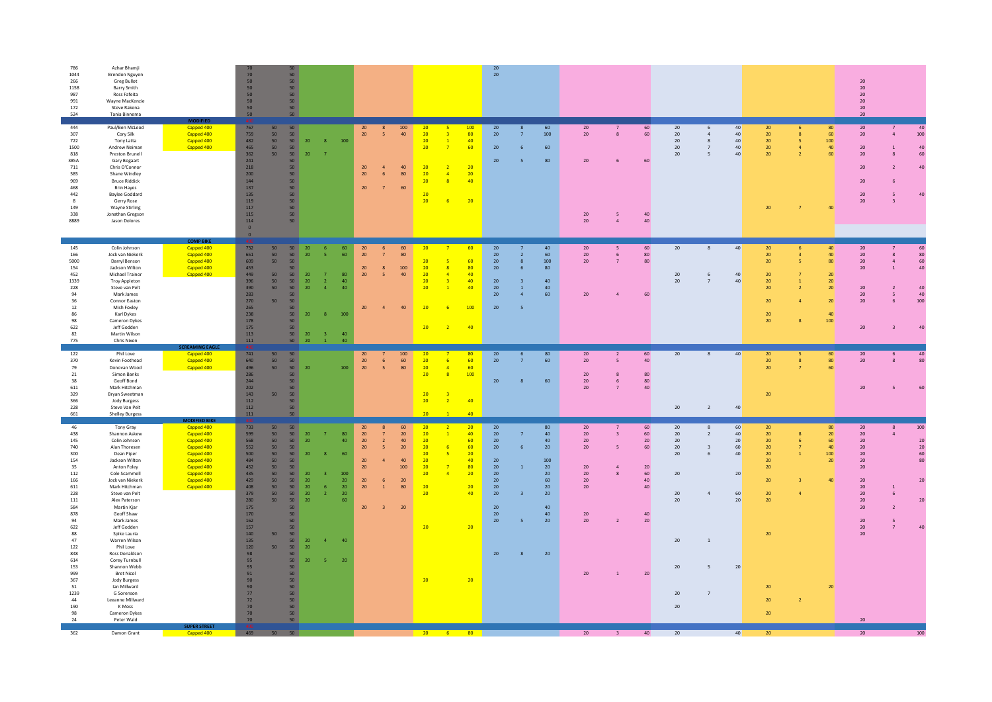| 786<br>1044<br>266<br>1158<br>987<br>991<br>172<br>524                                                                                                                                                                   | Azhar Bhamji<br>Brendon Nguyen<br>Greg Bullot<br>Barry Smith<br>Ross Fafeita<br>Wayne MacKenzie<br>Steve Rakena<br>Tanja Binnema                                                                                                                                                                                                                                                                                                                                                                 |                                                                                                                                                                  | 70<br>50<br>50<br>50<br>50<br>50<br>50                                                                                                                                                                           | 50<br>50 <sub>2</sub><br>50 <sub>2</sub><br>50<br>50 <sub>2</sub><br>50 <sub>2</sub><br>50<br>50                                                                                                                                                                                                                                                                                                       |                                                                                                                                                                                       |                                                                                                          |                                                                                                                                                                          |                                                                 |                                                                                   |                                                                                                                                                    |                                                    | $20\,$<br>20                                                                                                                        |                                                                                                                         |                                                                                             |                                                         |                                                                |                                                                          |                                                                                                                                                                                                              |                                                                                                                        |                                            |                                                                         | $20\,$<br>20<br>$20\,$<br>20<br>$20\,$<br>20                                                                                                       |                                                                                           |                                                       |
|--------------------------------------------------------------------------------------------------------------------------------------------------------------------------------------------------------------------------|--------------------------------------------------------------------------------------------------------------------------------------------------------------------------------------------------------------------------------------------------------------------------------------------------------------------------------------------------------------------------------------------------------------------------------------------------------------------------------------------------|------------------------------------------------------------------------------------------------------------------------------------------------------------------|------------------------------------------------------------------------------------------------------------------------------------------------------------------------------------------------------------------|--------------------------------------------------------------------------------------------------------------------------------------------------------------------------------------------------------------------------------------------------------------------------------------------------------------------------------------------------------------------------------------------------------|---------------------------------------------------------------------------------------------------------------------------------------------------------------------------------------|----------------------------------------------------------------------------------------------------------|--------------------------------------------------------------------------------------------------------------------------------------------------------------------------|-----------------------------------------------------------------|-----------------------------------------------------------------------------------|----------------------------------------------------------------------------------------------------------------------------------------------------|----------------------------------------------------|-------------------------------------------------------------------------------------------------------------------------------------|-------------------------------------------------------------------------------------------------------------------------|---------------------------------------------------------------------------------------------|---------------------------------------------------------|----------------------------------------------------------------|--------------------------------------------------------------------------|--------------------------------------------------------------------------------------------------------------------------------------------------------------------------------------------------------------|------------------------------------------------------------------------------------------------------------------------|--------------------------------------------|-------------------------------------------------------------------------|----------------------------------------------------------------------------------------------------------------------------------------------------|-------------------------------------------------------------------------------------------|-------------------------------------------------------|
| 444<br>307<br>722<br>1500<br>818<br>385A<br>711<br>585<br>969<br>468<br>442<br>$\mathbf{R}$<br>149<br>338<br>8889                                                                                                        | Paul/Ben McLeod<br>Cory Silk<br>Tony Latta<br>Andrew Neiman<br>Preston Brunell<br>Gary Bogaart<br>Chris O'Connor<br>Shane Windley<br><b>Bruce Riddick</b><br><b>Brin Hayes</b><br><b>Baylee Goddard</b><br>Gerry Rose<br><b>Wayne Stirling</b><br>Jonathan Gregson<br>Jason Dolores                                                                                                                                                                                                              | Capped 400<br>Capped 400<br>Capped 400<br>Capped 400<br><b>COMP BIKE</b>                                                                                         | 767<br>759<br>482<br>465<br>362<br>241<br>218<br>200<br>144<br>137<br>135<br>119<br>117<br>115<br>114<br>$\overline{\mathbf{0}}$<br>$\overline{0}$                                                               | 50<br>50<br>50 <sub>2</sub><br>50<br>50<br>50<br>50<br>50<br>50<br>50<br>50<br>50 <sub>2</sub><br>50 <sub>2</sub><br>50<br>50<br>50<br>50 <sub>2</sub><br>50 <sub>2</sub><br>50 <sup>°</sup><br>50                                                                                                                                                                                                     | 20<br>8<br>20                                                                                                                                                                         | 100                                                                                                      | 20<br>20<br>$-5$<br>20<br>20<br>-6<br>20<br>$\overline{7}$                                                                                                               | 100<br>40<br>40<br>80<br>60                                     | 20<br>20<br>20<br>20<br>20<br>20<br>20<br>20<br>20                                | $\overline{\mathbf{3}}$<br>$\overline{1}$<br>60<br>$\overline{7}$<br>20<br>$\overline{2}$<br>$\overline{a}$<br>$\overline{\mathbf{8}}$<br>20<br>-6 | 100<br>80<br>40<br>20<br>40                        | 20<br>$20\,$<br>$\overline{7}$<br>20<br>20<br>5 <sub>5</sub>                                                                        | 60<br>100<br>60<br>$6 \overline{6}$<br>80                                                                               | 20<br>20<br>20<br>20<br>$20\,$                                                              | $\overline{7}$<br>$\mathbf{R}$<br>6<br>-5<br>$\sqrt{4}$ | 60<br>60<br>60<br>40<br>40                                     | 20<br>20<br>20<br>20<br>$20\,$                                           | 40 <sup>°</sup><br>6<br>40 <sup>°</sup><br>$\overline{4}$<br>40 <sup>°</sup><br>$\mathbf{8}$<br>40<br>$7\overline{ }$<br>$\mathsf S$<br>40 <sup>°</sup>                                                      | 20<br>20<br>20<br>20 <sub>2</sub><br>$20\,$<br>$20\,$                                                                  | 6<br>8<br>$\overline{a}$<br>$\overline{7}$ | 80<br>60<br>100<br>40<br>60<br>40                                       | 20 <sub>2</sub><br>$20\,$<br>20<br>$20\,$<br>20<br>20<br>$20\,$<br>20                                                                              | $7^{\circ}$<br>$\overline{a}$<br>8<br>$\overline{\mathbf{3}}$                             | 40<br>100<br>40 <sub>1</sub><br>60<br>40 <sup>2</sup> |
| 145<br>166<br>5000<br>154<br>452<br>1339<br>228<br>94<br>36<br>$12\,$<br>86<br>98<br>622<br>82<br>775                                                                                                                    | Colin Johnson<br>Jock van Niekerk<br>Darryl Benson<br>Jackson Wilton<br>Michael Trainor<br><b>Troy Appleton</b><br>Steve van Pelt<br>Mark James<br>Connor Easton<br>Mish Foxley<br>Karl Dykes<br>Cameron Dykes<br>Jeff Godden<br>Martin Wilson<br>Chris Nixon                                                                                                                                                                                                                                    | Capped 400<br>Capped 400<br>Capped 400<br>Capped 400<br>Capped 400                                                                                               | 732<br>651<br>609<br>453<br>449<br>396<br>390<br>283<br>270<br>265<br>238<br>178<br>175<br>113<br>111                                                                                                            | 50<br>50<br>50<br>50 <sub>1</sub><br>50<br>50<br>50<br>50<br>50<br>50<br>50<br>50<br>50<br>50<br>50 <sub>2</sub><br>50<br>50<br>50<br>50<br>50<br>50<br>50                                                                                                                                                                                                                                             | 20<br>- 6<br>20<br>$\overline{\mathbf{5}}$<br>20<br>$\overline{7}$<br>20<br>$\overline{2}$<br>20<br>$\Lambda$<br>20<br>$\overline{8}$<br>20<br>$\overline{3}$<br>20<br>$\overline{1}$ | 60<br>60<br>80<br>40<br>40<br>100<br>40<br>40 <sup>°</sup>                                               | $20\,$<br>20<br>$\overline{7}$<br>20<br>8<br>20<br>$\overline{\mathbf{5}}$<br>$20\,$                                                                                     | 60<br>80<br>100<br>40<br>40                                     | 20<br>20<br>20<br>20<br>20<br>20<br>20<br>20                                      | 60<br>$\overline{7}$<br>5<br>$\overline{\mathbf{8}}$<br>$\overline{4}$<br>40<br>$\overline{\mathbf{3}}$<br>40<br>$\overline{1}$<br>$\overline{2}$  | 60<br>80<br>40<br>100<br>40                        | $20\,$<br>20<br>$20\,$<br>20<br>20<br>$20\,$<br>$\overline{1}$<br>20<br>$\overline{a}$<br>20<br>-5                                  | 40<br>60<br>$\overline{2}$<br>$\mathbf{8}$<br>100<br>80<br>6<br>40<br>40<br>60                                          | 20<br>20<br>20 <sub>2</sub><br>20                                                           | 5<br>6<br>$\overline{7}$<br>$\overline{a}$              | 60<br>80<br>80<br>60                                           | $20\,$<br>20<br>20 <sub>2</sub>                                          | 40 <sup>°</sup><br>8<br>$\,$ 6 $\,$<br>$40\,$<br>40<br>$\overline{7}$                                                                                                                                        | 20<br>20<br>20<br>20<br>20<br>20<br>20<br>20<br>20                                                                     | 6<br>$\mathbf{R}$<br>5.                    | 40<br>40<br>80<br>20<br>20 <sup>°</sup><br>20<br>20<br>40<br>100        | $20\,$<br>20 <sup>2</sup><br>${\bf 20}$<br>20<br>$20\,$<br>20<br>20<br>$20\,$                                                                      | $\mathcal{R}$<br>$\sqrt{4}$<br>$\mathbf{1}$<br>-5<br>$\mathbf{r}$                         | 60<br>80<br>60<br>40<br>40<br>40<br>100<br>40         |
| 122<br>370<br>79<br>${\bf 21}$<br>38<br>611<br>329<br>366<br>228<br>661                                                                                                                                                  | Phil Love<br>Kevin Foothead<br>Donovan Wood<br>Simon Banks<br>Geoff Bond<br>Mark Hitchman<br><b>Brvan Sweetman</b><br><b>Jody Burgess</b><br>Steve Van Pelt<br><b>Shelley Burgess</b>                                                                                                                                                                                                                                                                                                            | Capped 400<br>Capped 400<br>Capped 400                                                                                                                           | 741<br>640<br>496<br>286<br>244<br>202<br>143<br>112<br>112<br>$111\,$                                                                                                                                           | 50<br>50<br>50<br>50<br>50<br>50<br>50 <sub>2</sub><br>50<br>50<br>50<br>50<br>50<br>50<br>50                                                                                                                                                                                                                                                                                                          | 20                                                                                                                                                                                    | 100                                                                                                      | 20<br>20<br>$6\phantom{1}$<br>20<br>5 <sup>5</sup>                                                                                                                       | 100<br>$60\,$<br>80                                             | 20<br>20<br>20<br>20<br>20<br>20<br>$\overline{20}$                               | 6<br>$\overline{4}$<br>$\overline{\mathbf{8}}$<br>R<br>$\overline{2}$                                                                              | 80<br>60<br>60<br>100<br>40<br>40 <sub>2</sub>     | 20<br>$20\,$<br>20<br>$\mathbf{R}$                                                                                                  | 80<br>6<br>60<br>60                                                                                                     | 20<br>20 <sub>2</sub><br>$20\,$<br>20<br>20 <sub>2</sub>                                    | $\overline{2}$<br>5<br>8<br>6<br>$\overline{7}$         | 60<br>40<br>80<br>80<br>40                                     | 20<br>20                                                                 | 40<br>8<br>$\overline{2}$<br>40 <sup>°</sup>                                                                                                                                                                 | 20<br>$20\,$<br>20<br>20                                                                                               | 5<br>$\bf8$                                | 60<br>80<br>60                                                          | 20<br>$20\,$<br>20                                                                                                                                 | 6                                                                                         | 40<br>80<br>60                                        |
| 46<br>438<br>145<br>740<br>300<br>154<br>35<br>$112\,$<br>166<br>$611\,$<br>228<br>$111\,$<br>584<br>878<br>94<br>622<br>88<br>47<br>122<br>848<br>614<br>153<br>999<br>367<br>51<br>1239<br>$\bf 44$<br>190<br>98<br>24 | Tony Gray<br>Shannon Askew<br>Colin Johnson<br>Alan Thoresen<br>Dean Piper<br>Jackson Wilton<br>Anton Foley<br>Cole Scammell<br>Jock van Niekerk<br>Mark Hitchman<br>Steve van Pelt<br>Alex Paterson<br>Martin Kjar<br>Geoff Shaw<br>Mark James<br>Jeff Godden<br>Spike Lauria<br>Warren Wilson<br>Phil Love<br>Ross Donaldson<br>Corey Turnbull<br>Shannon Webb<br><b>Bret Nicol</b><br>Jody Burgess<br>Ian Millward<br>G Sorenson<br>Leeanne Millward<br>K Moss<br>Cameron Dykes<br>Peter Wald | <b>MODIFIED BIKE</b><br>Capped 400<br>Capped 400<br>Capped 400<br>Capped 400<br>Capped 400<br>Capped 400<br>Capped 400<br>Capped 400<br>Capped 400<br>Capped 400 | 733<br>599<br>568<br>552<br>500<br>484<br>452<br>435<br>429<br>408<br>379<br>280<br>175<br>170<br>162<br>157<br>140<br>135<br>120<br>98<br>95<br>95<br>91<br>90<br>90 <sub>°</sub><br>77<br>72<br>70<br>70<br>70 | 50<br>50<br>50<br>50<br>50 <sup>°</sup><br>50<br>50 <sub>2</sub><br>50<br>50<br>50<br>50<br>50<br>50<br>50<br>50 <sub>2</sub><br>50<br>50<br>50<br>50<br>50<br>50<br>50<br>50<br>50<br>50<br>50<br>50<br>50<br>50 <sub>2</sub><br>50<br>50 <sub>2</sub><br>50<br>50<br>50<br>50<br>50<br>50 <sub>2</sub><br>50 <sub>2</sub><br>50<br>50<br>50 <sub>2</sub><br>50 <sub>2</sub><br>50 <sub>2</sub><br>50 | $20\,$<br>$\overline{7}$<br>20 <sup>2</sup><br>20<br>20<br>20<br>20 <sub>2</sub><br>-6<br>20<br>$\overline{2}$<br>20<br>20<br>$\overline{a}$<br>20<br>$20\,$<br>-5                    | 80<br>40 <sup>1</sup><br>60<br>$100\,$<br>20 <sub>2</sub><br>20 <sub>2</sub><br>20<br>60<br>40<br>$20\,$ | 20<br>8<br>20 <sub>2</sub><br>$7\overline{ }$<br>20<br>$\overline{2}$<br>20<br>$\overline{\mathbf{5}}$<br>20<br>20<br>$20\,$<br>$\mathbf{r}$<br>20<br>$\mathbf{1}$<br>20 | 60<br>$20\,$<br>$40\,$<br>$20\,$<br>40<br>100<br>20<br>80<br>20 | $\overline{20}$<br>20<br>20<br>20<br>20<br>20<br>20<br>20<br>20<br>20<br>20<br>20 | $\sqrt{2}$<br>$\overline{1}$<br>6<br>$-5$<br>20<br>$\overline{z}$<br>80<br>$\overline{A}$<br>20                                                    | 20<br>40<br>60<br>60<br>40<br>20<br>20<br>40<br>20 | 20<br>$20\,$<br>$20\,$<br>20<br>20<br>20<br>$\overline{1}$<br>$20\,$<br>20 <sup>°</sup><br>$20\,$<br>20<br>20<br>20<br>$20\,$<br>20 | 80<br>40<br>40<br>$20\,$<br>100<br>20<br>20 <sub>2</sub><br>60<br>$20\,$<br>20 <sub>2</sub><br>40<br>40<br>$20\,$<br>20 | 20<br>20<br>20<br>$20\,$<br>20<br>$20\,$<br>20<br>$20\,$<br>20<br>$20\,$<br>20 <sub>2</sub> | 7<br>$\overline{3}$<br>$\overline{a}$<br>$\mathbf{1}$   | 60<br>60<br>20<br>60<br>20<br>60<br>40<br>40<br>40<br>20<br>20 | 20<br>20<br>20<br>20<br>20<br>$20\,$<br>20<br>20<br>20<br>20<br>20<br>20 | 8<br>60<br>40 <sup>°</sup><br>$\overline{2}$<br>20 <sub>2</sub><br>60<br>$\overline{\mathbf{3}}$<br>40<br>6<br>$20\,$<br>60<br>$\overline{a}$<br>20 <sub>2</sub><br>$\,$ 1<br>$20\,$<br>5<br>$7\overline{ }$ | 20 <sub>2</sub><br>20 <sub>2</sub><br>20<br>$20\,$<br>20<br>$20\,$<br>20<br>20<br>$20\,$<br>20<br>20<br>20<br>20<br>20 | $\mathbf{\hat{z}}$                         | 80<br>20 <sup>°</sup><br>60<br>40<br>100<br>20 <sub>2</sub><br>40<br>20 | $20\,$<br>20 <sub>2</sub><br>20<br>$20\,$<br>20<br>$20\,$<br>20<br>20<br>$20\,$<br>20<br>$20\,$<br>20<br>$20\,$<br>$20\,$<br>20 <sub>2</sub><br>20 | 8<br>$\overline{a}$<br>-6<br>$\overline{2}$<br>$\overline{\phantom{a}}$<br>$\overline{7}$ | 100<br>20<br>20<br>60<br>80<br>20<br>$20\,$<br>40     |
| 362                                                                                                                                                                                                                      | Damon Grant                                                                                                                                                                                                                                                                                                                                                                                                                                                                                      | <b>SUPER STREE</b><br>Capped 400                                                                                                                                 | $-469$                                                                                                                                                                                                           | $50$ 50                                                                                                                                                                                                                                                                                                                                                                                                |                                                                                                                                                                                       |                                                                                                          |                                                                                                                                                                          |                                                                 | <b>20</b> 6                                                                       |                                                                                                                                                    | 80                                                 |                                                                                                                                     |                                                                                                                         | 20 <sub>2</sub>                                                                             | $\overline{\mathbf{3}}$                                 | 40                                                             | 20                                                                       | 40 <sup>°</sup>                                                                                                                                                                                              | 20                                                                                                                     |                                            |                                                                         | 20                                                                                                                                                 |                                                                                           |                                                       |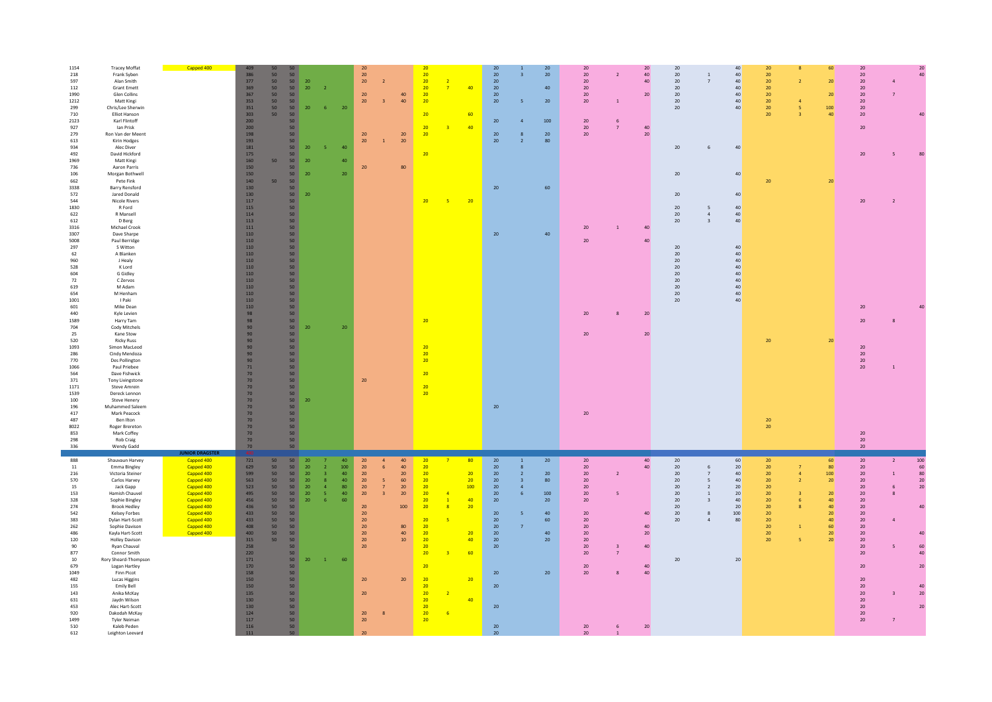| 1154<br><b>Tracey Moffat</b><br>218<br>Frank Syben<br>597<br>Alan Smith<br>112<br><b>Grant Emett</b><br>1990<br>Glen Collins<br>1212<br>Matt Kingi<br>Chris/Lee Sherwin<br>299<br>710<br><b>Elliot Hanson</b><br>2123<br>Karl Flintoff<br>927<br><b>Jan Prisk</b><br>279<br>Ron Van der Meent<br>613<br>Kirin Hodges<br>934<br>Alec Diver<br>David Hickford<br>492<br>1969<br>Matt Kingi<br>736<br>Aaron Parris<br>106<br>Morgan Bothwell<br>662<br>Pete Fink<br>3338<br><b>Barry Rensford</b><br>572<br>Jared Donald<br>544<br><b>Nicole Rivers</b><br>1830<br>R Ford<br>R Mansell<br>622<br>612<br>D Berg<br>3316<br>Michael Crook<br>3307<br>Dave Sharpe<br>5008<br>Paul Berridge<br>297<br>S Witton<br>A Blanken<br>62<br>960<br>J Healy<br>528<br>K Lord<br>604<br>G Gidley<br>72<br>C Zervos<br>619<br>M Adam<br>M Henham<br>654<br>1001<br>I Paki<br>601<br>Mike Dean<br>440<br>Kyle Levien<br>1589<br>Harry Tam<br>704<br><b>Cody Mitchels</b><br>25<br>Kane Stow<br>520<br><b>Ricky Russ</b><br>1093<br>Simon MacLeod<br>286<br>Cindy Mendoza<br>770<br>Des Pollington<br>1066<br>Paul Priebee<br>Dave Fishwick<br>564<br>371<br>Tony Livingstone<br>1171<br><b>Steve Amrein</b><br>1539<br>Dereck Lennon<br>100<br><b>Steve Henery</b><br>196<br>Muhammed Saleem<br>417<br>Mark Peacock<br>487<br>Ben Ilton<br>8022<br>Roger Brereton<br>853<br>Mark Coffey | Capped 400                                                                                                                                                                              | 409<br>386<br>50<br>377<br>50 <sub>2</sub><br>50<br>369<br>367<br>50<br>50<br>353<br>351<br>50<br>303<br>50 <sub>1</sub><br>200<br>200<br>198<br>193<br>181<br>175<br>160<br>50<br>150<br>150<br>140<br>50<br>130<br>130<br>117<br>115<br>114<br>113<br>111<br>110<br>110<br>110<br>110<br>110<br>110<br>110<br>110<br>110<br>110<br>110<br>110<br>98<br>98<br>90<br>90<br>90 <sup>°</sup><br>90<br>90<br>90<br>71<br>70<br>70<br>$70\,$<br>70<br>70<br>70<br>70<br>70<br>70<br>$70$ | 50<br>50<br>20 <sup>°</sup><br>50<br>20 <sub>2</sub><br>50 <sub>2</sub><br>50<br>50<br>$20\,$<br>50<br>50 <sub>2</sub><br>50<br>50<br>50<br>50<br>20<br>50<br>50<br>$20\,$<br>50<br>50<br>20<br>50<br>50<br>50<br>$20\,$<br>50<br>50<br>50<br>50<br>50<br>50<br>50<br>50<br>50<br>50<br>50<br>50<br>50<br>50<br>50<br>50<br>50<br>50<br>50<br>20 <sup>°</sup><br>50<br>50<br>50<br>50<br>50<br>50<br>50<br>50<br>50<br>50<br>50<br>50<br>20<br>50<br>50<br>50<br>50<br>50 | $\overline{2}$<br>6 <sup>7</sup><br>20<br>40<br>-5.<br>40<br>20<br>20                                                                   | 20<br>$20\,$<br>20 <sup>°</sup><br>$\overline{z}$<br>20<br>20<br>$\overline{3}$<br>${\bf 20}$<br>20<br>$\mathbf{1}$<br>20<br>20                                                        | 40<br>40<br>${\bf 20}$<br>20<br>80                                                                     | 20<br>20<br>20<br>$\overline{2}$<br>20<br>$\overline{7}$<br>20<br>20<br>20<br>20<br>$\overline{3}$<br>20<br>20<br>20<br>$-5$<br>20<br>20<br>20<br>20<br>20<br>20<br>20                                                              | 40<br>60<br>40<br>20                                            | 20<br>$20\,$<br>20<br>20<br>20<br>20<br>20 <sub>2</sub><br>$20\,$<br>20<br>20<br>$20\,$<br>20                                              | $\overline{3}$<br>$\overline{5}$<br>8<br>$\overline{2}$                                                   | 20<br>$20\,$<br>40<br>$20\,$<br>100<br>$20\,$<br>80<br>60<br>40                        | $20\,$<br>20<br>20 <sup>°</sup><br>20<br>20<br>20<br>20 <sub>2</sub><br>20 <sup>°</sup><br>$20\,$<br>20<br>20<br>20<br>$20\,$<br>20                                  | 20<br>$\overline{2}$<br>40<br>40<br>20<br>$\,$ 1 $\,$<br>6<br>40<br>$\overline{7}$<br>$20\,$<br>$\,$ 1 $\,$<br>40<br>40<br>20<br>8<br>20 | 20<br>20<br>20<br>20<br>20<br>20<br>$20\,$<br>$20\,$<br>20<br>$20\,$<br>$20\,$<br>20<br>20<br>$20\,$<br>20<br>$20\,$<br>20<br>20<br>20<br>$20\,$<br>20<br>20 | $\overline{1}$<br>$\overline{7}$<br>6<br>$\overline{4}$<br>$\overline{\mathbf{3}}$                  | $40\,$<br>40 <sup>°</sup><br>40 <sup>°</sup><br>40 <sup>°</sup><br>40<br>40 <sup>°</sup><br>40 <sup>°</sup><br>$40\,$<br>40<br>40<br>40<br>40<br>40<br>40<br>40<br>40 <sup>°</sup><br>40 <sup>°</sup><br>40 <sup>°</sup><br>40 <sup>°</sup><br>40 <sup>°</sup><br>40 <sup>°</sup><br>40 <sup>°</sup> | 20<br>20<br>20<br>20<br>20<br>$20\,$<br>20<br>20<br>20<br>20<br>20<br>$20\,$ | 60<br>20 <sup>°</sup><br>20 <sub>2</sub><br>100<br>40<br>20<br>20 <sub>2</sub>                                                | 20<br>$20\,$<br>20 <sub>2</sub><br>20<br>$20\,$<br>20<br>20 <sub>2</sub><br>20<br>20<br>20<br>20<br>$20\,$<br>$20\,$<br>${\bf 20}$<br>20<br>$20\degree$<br>20<br>20                                                            | 40                                                                                                |
|-----------------------------------------------------------------------------------------------------------------------------------------------------------------------------------------------------------------------------------------------------------------------------------------------------------------------------------------------------------------------------------------------------------------------------------------------------------------------------------------------------------------------------------------------------------------------------------------------------------------------------------------------------------------------------------------------------------------------------------------------------------------------------------------------------------------------------------------------------------------------------------------------------------------------------------------------------------------------------------------------------------------------------------------------------------------------------------------------------------------------------------------------------------------------------------------------------------------------------------------------------------------------------------------------------------------------------------------------------------------------|-----------------------------------------------------------------------------------------------------------------------------------------------------------------------------------------|--------------------------------------------------------------------------------------------------------------------------------------------------------------------------------------------------------------------------------------------------------------------------------------------------------------------------------------------------------------------------------------------------------------------------------------------------------------------------------------|---------------------------------------------------------------------------------------------------------------------------------------------------------------------------------------------------------------------------------------------------------------------------------------------------------------------------------------------------------------------------------------------------------------------------------------------------------------------------|-----------------------------------------------------------------------------------------------------------------------------------------|----------------------------------------------------------------------------------------------------------------------------------------------------------------------------------------|--------------------------------------------------------------------------------------------------------|-------------------------------------------------------------------------------------------------------------------------------------------------------------------------------------------------------------------------------------|-----------------------------------------------------------------|--------------------------------------------------------------------------------------------------------------------------------------------|-----------------------------------------------------------------------------------------------------------|----------------------------------------------------------------------------------------|----------------------------------------------------------------------------------------------------------------------------------------------------------------------|------------------------------------------------------------------------------------------------------------------------------------------|--------------------------------------------------------------------------------------------------------------------------------------------------------------|-----------------------------------------------------------------------------------------------------|------------------------------------------------------------------------------------------------------------------------------------------------------------------------------------------------------------------------------------------------------------------------------------------------------|------------------------------------------------------------------------------|-------------------------------------------------------------------------------------------------------------------------------|--------------------------------------------------------------------------------------------------------------------------------------------------------------------------------------------------------------------------------|---------------------------------------------------------------------------------------------------|
| 298<br>Rob Craig<br>336<br>Wendy Gadd<br>888<br>Shauvaun Harvey<br>11<br>Emma Bingley<br>216<br>Victoria Steiner<br>570<br>Carlos Harvey<br>15<br>Jack Gapp<br>153<br>Hamish Chauvel<br>328<br>Sophie Bingley<br>274<br><b>Brook Hedley</b><br>542<br>Kelsey Forbes<br>383<br>Dylan Hart-Scott<br>262<br>Sophie Davison<br>486<br>Kavla Hart-Scott<br>120<br><b>Holley Davison</b><br>Ryan Chauval<br>90<br>877<br>Connor Smith<br>$10\,$<br>Rory Sheard-Thompson<br>679<br>Logan Hartley<br>1049<br>Finn Picot<br>482<br><b>Lucas Higgins</b><br>155<br>Emily Bell<br>Anika McKay<br>143<br>631<br>Jaydn Wilson<br>453<br>Alec Hart-Scott<br>920<br>Dakodah McKay<br>1499<br><b>Tyler Neiman</b><br>510<br>Kaleb Peden<br>612<br>Leighton Leevard                                                                                                                                                                                                                                                                                                                                                                                                                                                                                                                                                                                                                    | <b>OR DRAGS</b><br>Capped 400<br>Capped 400<br>Capped 400<br>Capped 400<br>Capped 400<br>Capped 400<br>Capped 400<br>Capped 400<br>Capped 400<br>Capped 400<br>Capped 400<br>Capped 400 | 70<br>70<br>721<br>50<br>629<br>50<br>599<br>50<br>563<br>50<br>523<br>50<br>495<br>50<br>456<br>50<br>436<br>50<br>$50^{\circ}$<br>433<br>433<br>50<br>408<br>50<br>400<br>50<br>315<br>50<br>258<br>220<br>171<br>170<br>158<br>150<br>150<br>135<br>130<br>130<br>124<br>117<br>116<br>111                                                                                                                                                                                        | 50<br>50<br>50 <sub>2</sub><br>${\bf 20}$<br>50<br>20 <sup>°</sup><br>50<br>20<br>20 <sub>2</sub><br>50<br>50<br>$20\,$<br>50<br>20 <sub>2</sub><br>50<br>$20\,$<br>50<br>50<br>50<br>50<br>50<br>50<br>50<br>50<br>50<br>20<br>50<br>50 <sub>2</sub><br>50<br>50 <sub>2</sub><br>50<br>50<br>50<br>50<br>50<br>50<br>50                                                                                                                                                  | 40<br>100<br>$\overline{2}$<br>40<br>$\overline{3}$<br>40<br>8<br>$\overline{a}$<br>${\bf 80}$<br>40<br>S.<br>60<br>-6<br>$\sim1$<br>60 | $20\,$<br>20<br>6<br>$20\,$<br>20<br>5<br>${\bf 20}$<br>$7^{\circ}$<br>20<br>$\mathbf{R}$<br>20<br>20<br>20<br>20<br>20 <sup>°</sup><br>$20\,$<br>20<br>20<br>20<br>$20\,$<br>20<br>20 | 40<br>40<br>20 <sub>2</sub><br>60<br>20 <sub>2</sub><br>20<br>100<br>80<br>40<br>10 <sup>°</sup><br>20 | 20<br>20<br>20<br>20<br>20<br>20<br>$\overline{A}$<br>20<br>$\overline{1}$<br>20<br>$\overline{\mathbf{8}}$<br>20<br>20<br>20<br>20<br>20<br>20<br>20<br>20<br>20<br>20<br>$\overline{2}$<br>20<br>20<br>20<br>6 <sup>2</sup><br>20 | 80<br>20<br>20<br>100<br>40<br>20<br>20<br>40<br>60<br>20<br>40 | $20\,$<br>20<br>20<br>20<br>20<br>20<br>20<br>20<br>20<br>20<br>20<br>20<br>20<br>$20\,$<br>20 <sub>2</sub><br>20<br>20<br>20 <sub>2</sub> | $\mathbf{1}$<br>$\mathbf{R}$<br>$\overline{2}$<br>$\overline{3}$<br>$\overline{4}$<br>6<br>$\overline{7}$ | 20 <sub>2</sub><br>$20\,$<br>80<br>100<br>$20\,$<br>40<br>60<br>40<br>$20\,$<br>$20\,$ | 20 <sub>2</sub><br>20<br>$20\,$<br>20<br>$20\,$<br>20<br>20<br>20<br>20<br>20<br>20<br>20<br>20 <sup>°</sup><br>20<br>20<br>20 <sub>2</sub><br>20<br>20 <sub>2</sub> | 40<br>40<br>$\overline{2}$<br>5<br>40<br>40<br>20<br>40<br>40<br>40<br>20<br>6                                                           | $20\,$<br>20<br>$20\,$<br>20<br>20<br>20<br>20<br>20<br>20<br>20<br>$20\,$                                                                                   | 6<br>$\overline{7}$<br>5<br>$\overline{2}$<br><sup>1</sup><br>$\overline{3}$<br>8<br>$\overline{a}$ | 60<br>20<br>40 <sup>°</sup><br>40 <sup>°</sup><br>20 <sub>2</sub><br>20<br>40 <sup>°</sup><br>20 <sup>2</sup><br>100<br>80<br>20 <sup>2</sup>                                                                                                                                                        | 20<br>20<br>20<br>20<br>20<br>20<br>20<br>20<br>20<br>20<br>20<br>20<br>20   | 60<br>80 <sup>°</sup><br>$100\,$<br>20<br>20<br>40<br>40<br>20 <sub>2</sub><br>40<br>60<br>20 <sup>°</sup><br>20 <sub>2</sub> | 20<br>$20\,$<br>$20\,$<br>20<br>${\bf 20}$<br>20<br>$20\,$<br>20<br>$20\,$<br>20 <sub>2</sub><br>20<br>20<br>$20\,$<br>20<br>20<br>20<br>20<br>$20\,$<br>20<br>$20\,$<br>$20^{\circ}$<br>$20\,$<br>20<br>20 <sub>2</sub><br>20 | 100<br>60<br>$80\,$<br>20<br>20<br>40<br>60<br>$\overline{a}$<br>$\overline{2}$<br>40<br>20<br>20 |